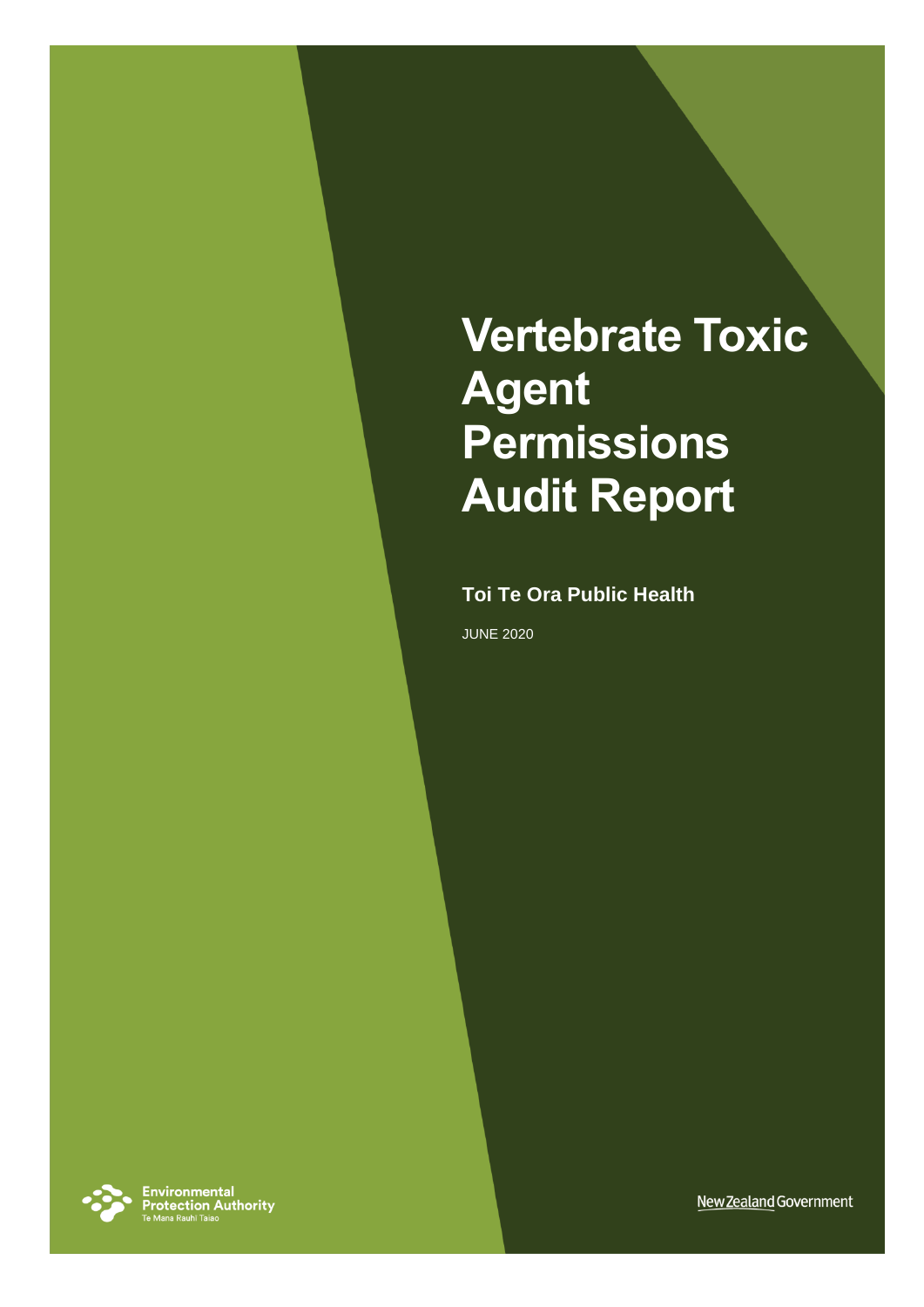# **Vertebrate Toxic Agent Permissions Audit Report**

#### **Toi Te Ora Public Health**

JUNE 2020



**Environmental<br>Protection Authority**<br>Te Mana Rauhī Taiao

New Zealand Government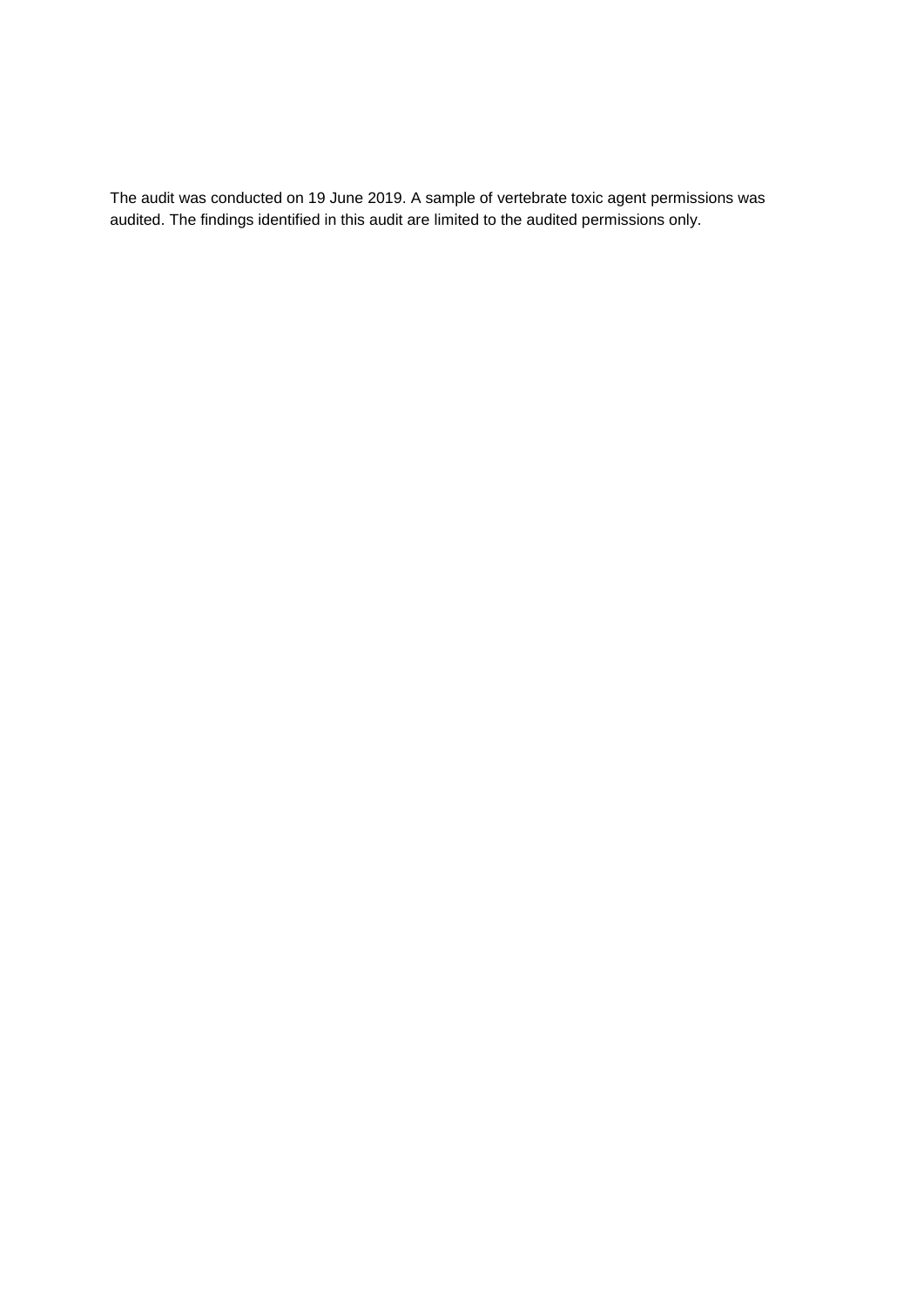The audit was conducted on 19 June 2019. A sample of vertebrate toxic agent permissions was audited. The findings identified in this audit are limited to the audited permissions only.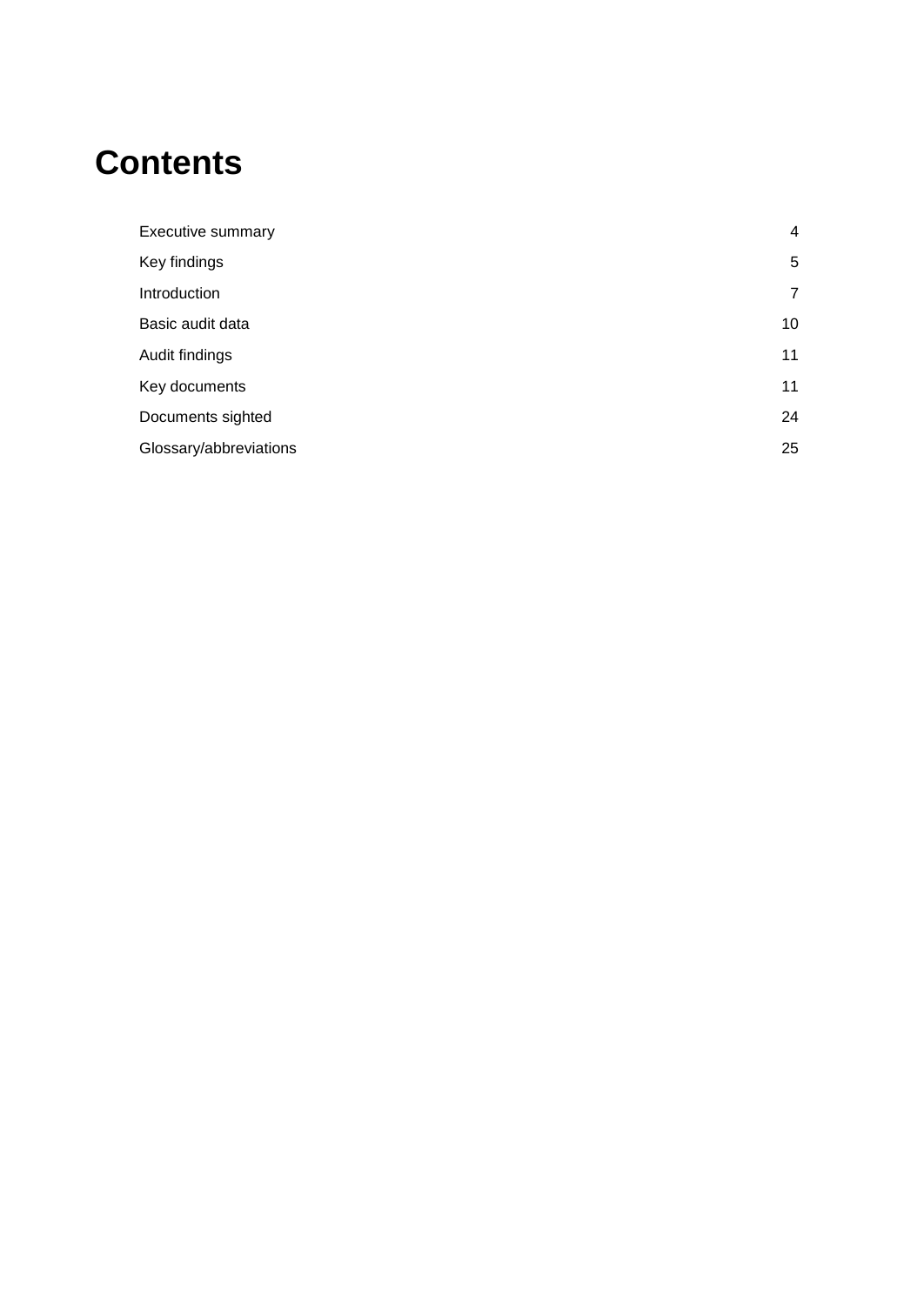## **Contents**

| Executive summary      | 4              |
|------------------------|----------------|
| Key findings           | 5              |
| Introduction           | $\overline{7}$ |
| Basic audit data       | 10             |
| Audit findings         | 11             |
| Key documents          | 11             |
| Documents sighted      | 24             |
| Glossary/abbreviations | 25             |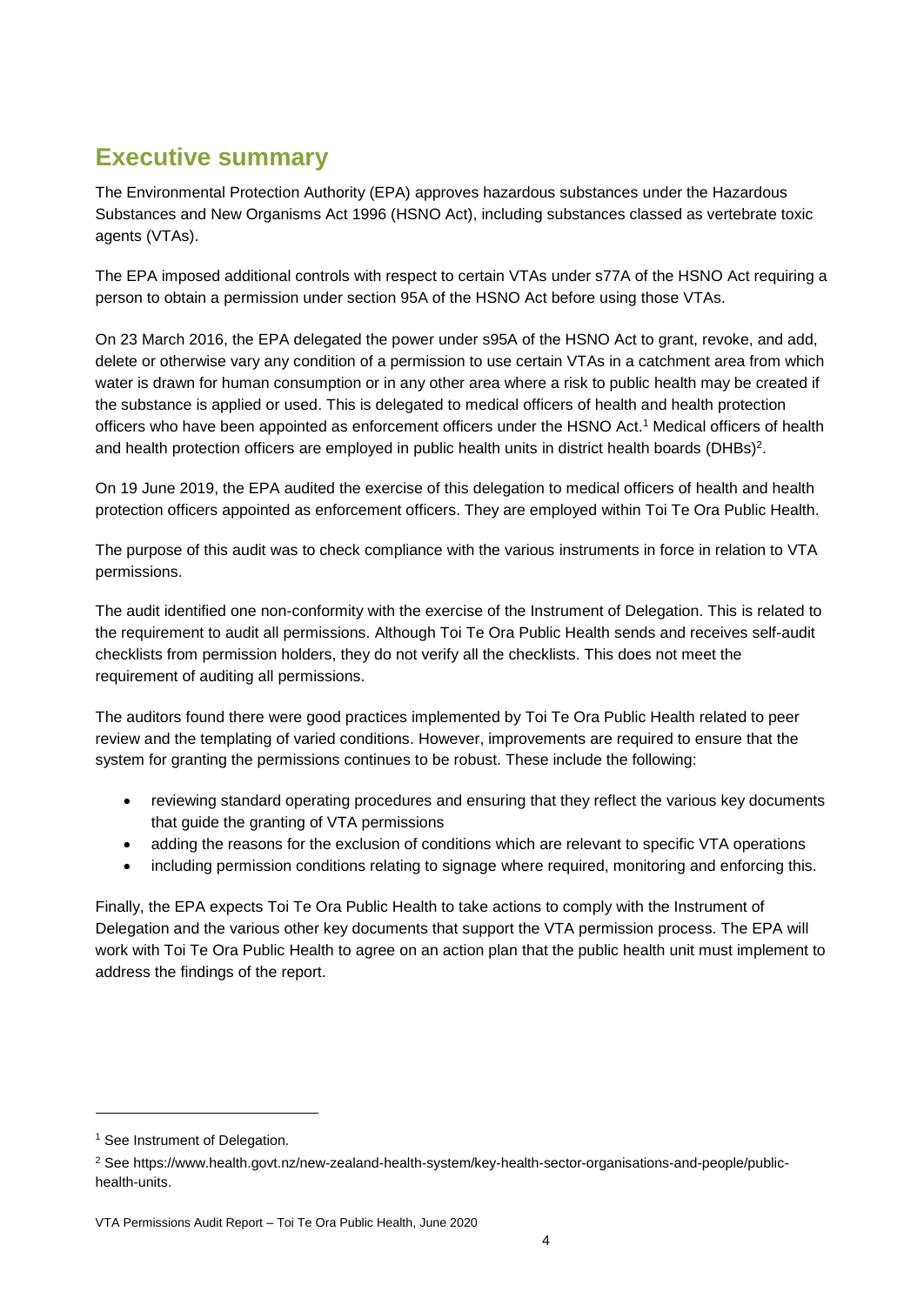### <span id="page-3-0"></span>**Executive summary**

The Environmental Protection Authority (EPA) approves hazardous substances under the Hazardous Substances and New Organisms Act 1996 (HSNO Act), including substances classed as vertebrate toxic agents (VTAs).

The EPA imposed additional controls with respect to certain VTAs under s77A of the HSNO Act requiring a person to obtain a permission under section 95A of the HSNO Act before using those VTAs.

On 23 March 2016, the EPA delegated the power under s95A of the HSNO Act to grant, revoke, and add, delete or otherwise vary any condition of a permission to use certain VTAs in a catchment area from which water is drawn for human consumption or in any other area where a risk to public health may be created if the substance is applied or used. This is delegated to medical officers of health and health protection officers who have been appointed as enforcement officers under the HSNO Act. <sup>1</sup> Medical officers of health and health protection officers are employed in public health units in district health boards (DHBs)<sup>2</sup>.

On 19 June 2019, the EPA audited the exercise of this delegation to medical officers of health and health protection officers appointed as enforcement officers. They are employed within Toi Te Ora Public Health.

The purpose of this audit was to check compliance with the various instruments in force in relation to VTA permissions.

The audit identified one non-conformity with the exercise of the Instrument of Delegation. This is related to the requirement to audit all permissions. Although Toi Te Ora Public Health sends and receives self-audit checklists from permission holders, they do not verify all the checklists. This does not meet the requirement of auditing all permissions.

The auditors found there were good practices implemented by Toi Te Ora Public Health related to peer review and the templating of varied conditions. However, improvements are required to ensure that the system for granting the permissions continues to be robust. These include the following:

- reviewing standard operating procedures and ensuring that they reflect the various key documents that guide the granting of VTA permissions
- adding the reasons for the exclusion of conditions which are relevant to specific VTA operations
- including permission conditions relating to signage where required, monitoring and enforcing this.

Finally, the EPA expects Toi Te Ora Public Health to take actions to comply with the Instrument of Delegation and the various other key documents that support the VTA permission process. The EPA will work with Toi Te Ora Public Health to agree on an action plan that the public health unit must implement to address the findings of the report.

<sup>&</sup>lt;sup>1</sup> See Instrument of Delegation.

<sup>2</sup> See https://www.health.govt.nz/new-zealand-health-system/key-health-sector-organisations-and-people/publichealth-units.

VTA Permissions Audit Report – Toi Te Ora Public Health, June 2020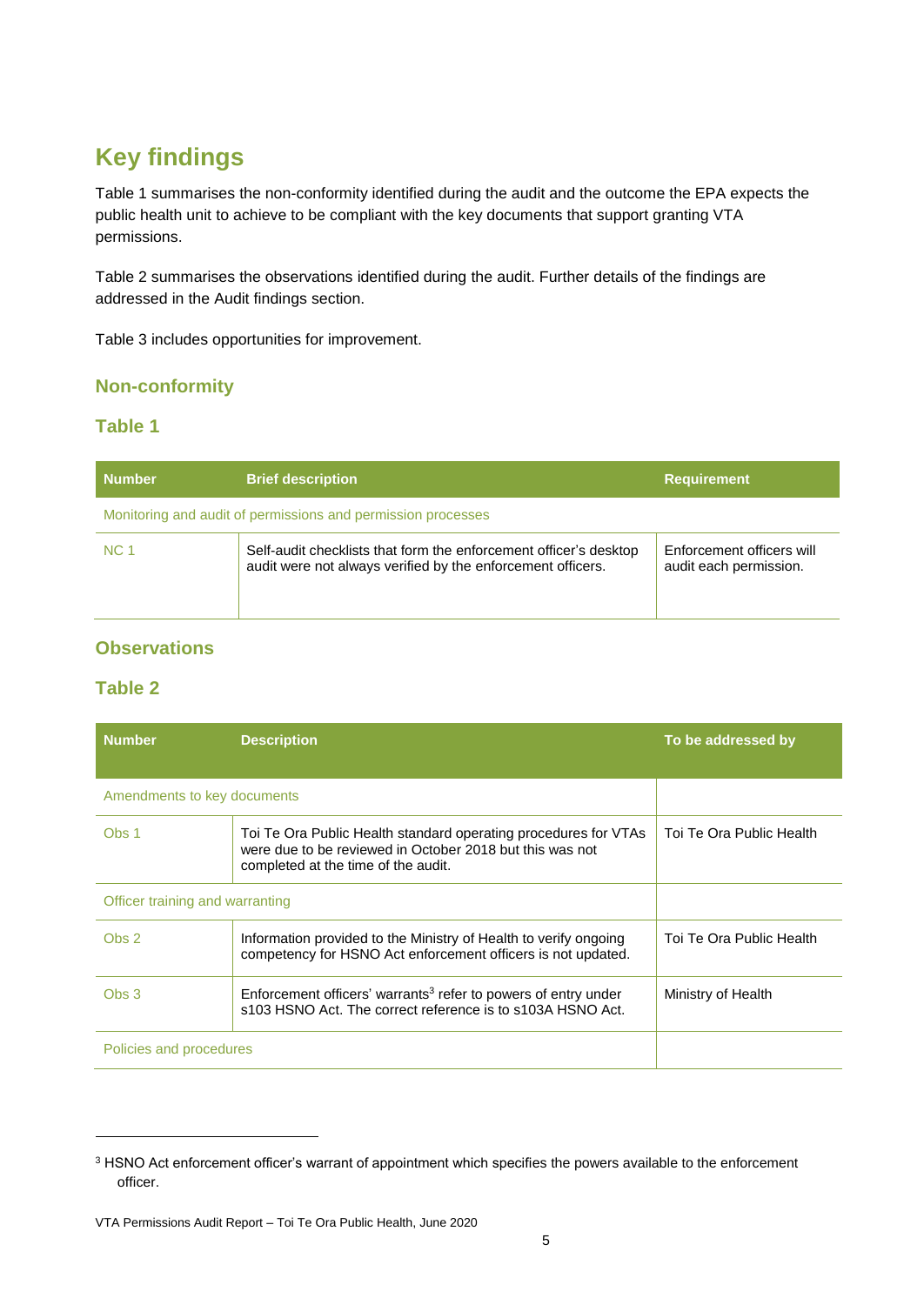### <span id="page-4-0"></span>**Key findings**

Table 1 summarises the non-conformity identified during the audit and the outcome the EPA expects the public health unit to achieve to be compliant with the key documents that support granting VTA permissions.

Table 2 summarises the observations identified during the audit. Further details of the findings are addressed in the Audit findings section.

Table 3 includes opportunities for improvement.

#### **Non-conformity**

#### **Table 1**

| <b>Number</b>                                                | <b>Brief description</b>                                                                                                         | <b>Requirement</b>                                  |
|--------------------------------------------------------------|----------------------------------------------------------------------------------------------------------------------------------|-----------------------------------------------------|
| Monitoring and audit of permissions and permission processes |                                                                                                                                  |                                                     |
| NC 1                                                         | Self-audit checklists that form the enforcement officer's desktop<br>audit were not always verified by the enforcement officers. | Enforcement officers will<br>audit each permission. |

#### **Observations**

#### **Table 2**

| <b>Number</b>                   | <b>Description</b>                                                                                                                                                 | To be addressed by       |
|---------------------------------|--------------------------------------------------------------------------------------------------------------------------------------------------------------------|--------------------------|
| Amendments to key documents     |                                                                                                                                                                    |                          |
| Obs <sub>1</sub>                | Toi Te Ora Public Health standard operating procedures for VTAs<br>were due to be reviewed in October 2018 but this was not<br>completed at the time of the audit. | Toi Te Ora Public Health |
| Officer training and warranting |                                                                                                                                                                    |                          |
| Obs <sub>2</sub>                | Information provided to the Ministry of Health to verify ongoing<br>competency for HSNO Act enforcement officers is not updated.                                   | Toi Te Ora Public Health |
| Obs <sub>3</sub>                | Enforcement officers' warrants <sup>3</sup> refer to powers of entry under<br>s103 HSNO Act. The correct reference is to s103A HSNO Act.                           | Ministry of Health       |
| Policies and procedures         |                                                                                                                                                                    |                          |

<sup>&</sup>lt;sup>3</sup> HSNO Act enforcement officer's warrant of appointment which specifies the powers available to the enforcement officer.

VTA Permissions Audit Report – Toi Te Ora Public Health, June 2020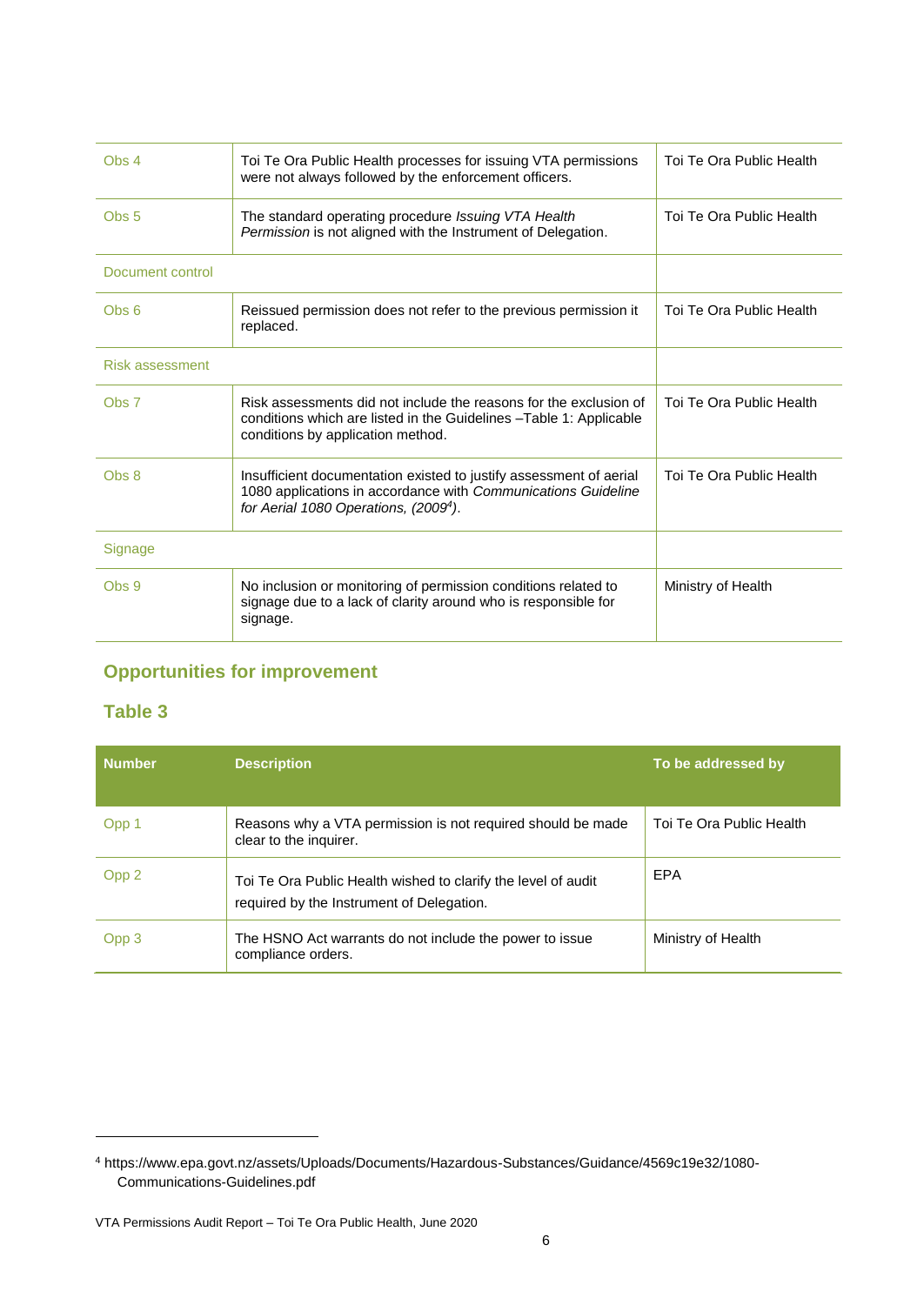| Obs 4            | Toi Te Ora Public Health processes for issuing VTA permissions<br>were not always followed by the enforcement officers.                                                                  | Toi Te Ora Public Health |
|------------------|------------------------------------------------------------------------------------------------------------------------------------------------------------------------------------------|--------------------------|
| Obs <sub>5</sub> | The standard operating procedure Issuing VTA Health<br>Permission is not aligned with the Instrument of Delegation.                                                                      | Toi Te Ora Public Health |
| Document control |                                                                                                                                                                                          |                          |
| Obs <sub>6</sub> | Reissued permission does not refer to the previous permission it<br>replaced.                                                                                                            | Toi Te Ora Public Health |
| Risk assessment  |                                                                                                                                                                                          |                          |
| Obs <sub>7</sub> | Risk assessments did not include the reasons for the exclusion of<br>conditions which are listed in the Guidelines - Table 1: Applicable<br>conditions by application method.            | Toi Te Ora Public Health |
| Obs 8            | Insufficient documentation existed to justify assessment of aerial<br>1080 applications in accordance with Communications Guideline<br>for Aerial 1080 Operations, (2009 <sup>4</sup> ). | Toi Te Ora Public Health |
| Signage          |                                                                                                                                                                                          |                          |
| Obs 9            | No inclusion or monitoring of permission conditions related to<br>signage due to a lack of clarity around who is responsible for<br>signage.                                             | Ministry of Health       |
|                  |                                                                                                                                                                                          |                          |

#### **Opportunities for improvement**

#### **Table 3**

| <b>Number</b> | <b>Description</b>                                                                                         | To be addressed by       |
|---------------|------------------------------------------------------------------------------------------------------------|--------------------------|
| Opp 1         | Reasons why a VTA permission is not required should be made<br>clear to the inquirer.                      | Toi Te Ora Public Health |
| Opp 2         | Toi Te Ora Public Health wished to clarify the level of audit<br>required by the Instrument of Delegation. | EPA                      |
| Opp 3         | The HSNO Act warrants do not include the power to issue<br>compliance orders.                              | Ministry of Health       |

<sup>4</sup> https://www.epa.govt.nz/assets/Uploads/Documents/Hazardous-Substances/Guidance/4569c19e32/1080- Communications-Guidelines.pdf

VTA Permissions Audit Report – Toi Te Ora Public Health, June 2020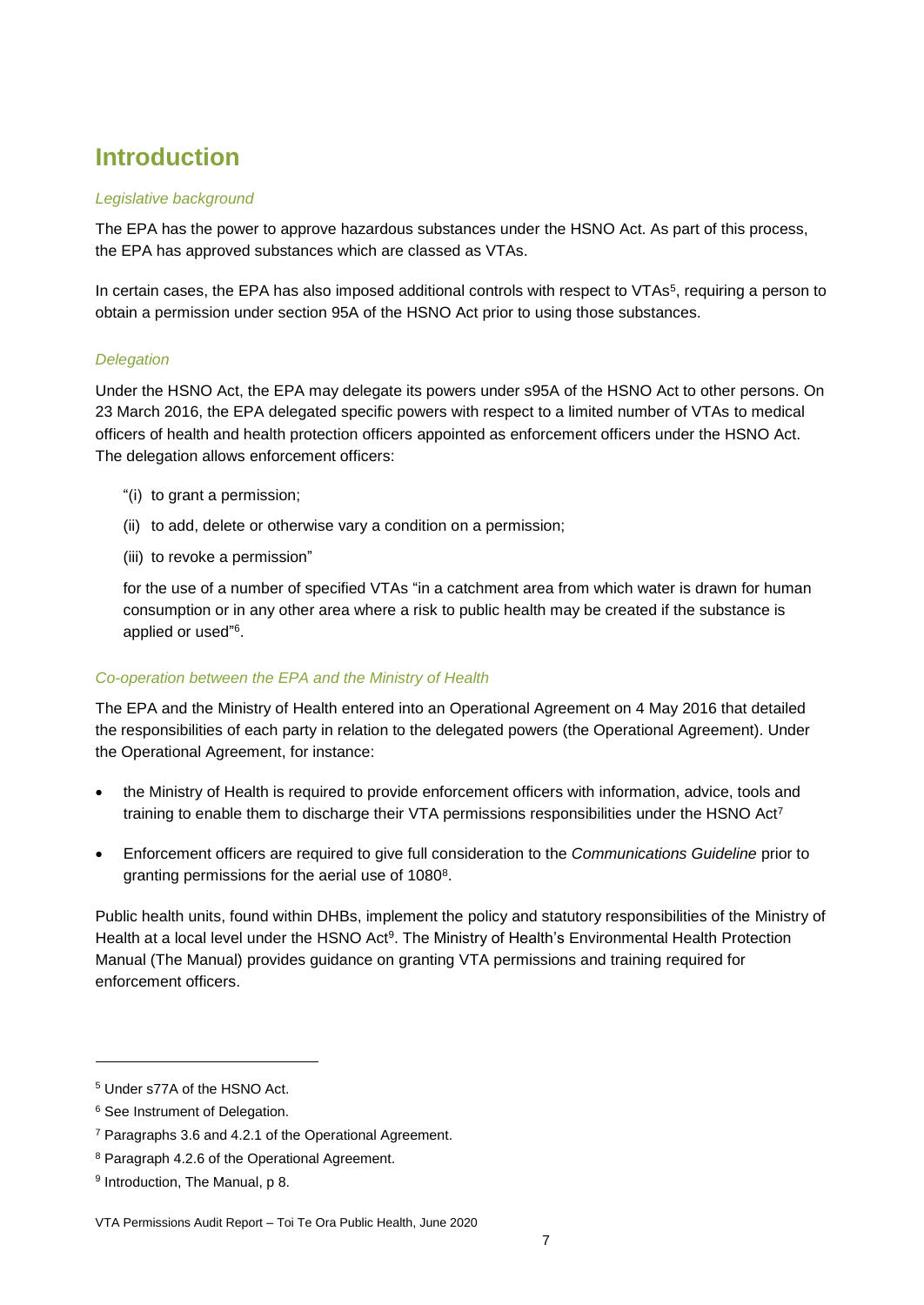### <span id="page-6-0"></span>**Introduction**

#### *Legislative background*

The EPA has the power to approve hazardous substances under the HSNO Act. As part of this process, the EPA has approved substances which are classed as VTAs.

In certain cases, the EPA has also imposed additional controls with respect to VTAs<sup>5</sup>, requiring a person to obtain a permission under section 95A of the HSNO Act prior to using those substances.

#### *Delegation*

Under the HSNO Act, the EPA may delegate its powers under s95A of the HSNO Act to other persons. On 23 March 2016, the EPA delegated specific powers with respect to a limited number of VTAs to medical officers of health and health protection officers appointed as enforcement officers under the HSNO Act. The delegation allows enforcement officers:

- "(i) to grant a permission;
- (ii) to add, delete or otherwise vary a condition on a permission;
- (iii) to revoke a permission"

for the use of a number of specified VTAs "in a catchment area from which water is drawn for human consumption or in any other area where a risk to public health may be created if the substance is applied or used" 6 .

#### *Co-operation between the EPA and the Ministry of Health*

The EPA and the Ministry of Health entered into an Operational Agreement on 4 May 2016 that detailed the responsibilities of each party in relation to the delegated powers (the Operational Agreement). Under the Operational Agreement, for instance:

- the Ministry of Health is required to provide enforcement officers with information, advice, tools and training to enable them to discharge their VTA permissions responsibilities under the HSNO Act<sup>7</sup>
- Enforcement officers are required to give full consideration to the *Communications Guideline* prior to granting permissions for the aerial use of 1080<sup>8</sup>.

Public health units, found within DHBs, implement the policy and statutory responsibilities of the Ministry of Health at a local level under the HSNO Act<sup>9</sup>. The Ministry of Health's Environmental Health Protection Manual (The Manual) provides guidance on granting VTA permissions and training required for enforcement officers.

<sup>5</sup> Under s77A of the HSNO Act.

<sup>6</sup> See Instrument of Delegation.

<sup>7</sup> Paragraphs 3.6 and 4.2.1 of the Operational Agreement.

<sup>8</sup> Paragraph 4.2.6 of the Operational Agreement.

<sup>&</sup>lt;sup>9</sup> Introduction, The Manual, p 8.

VTA Permissions Audit Report – Toi Te Ora Public Health, June 2020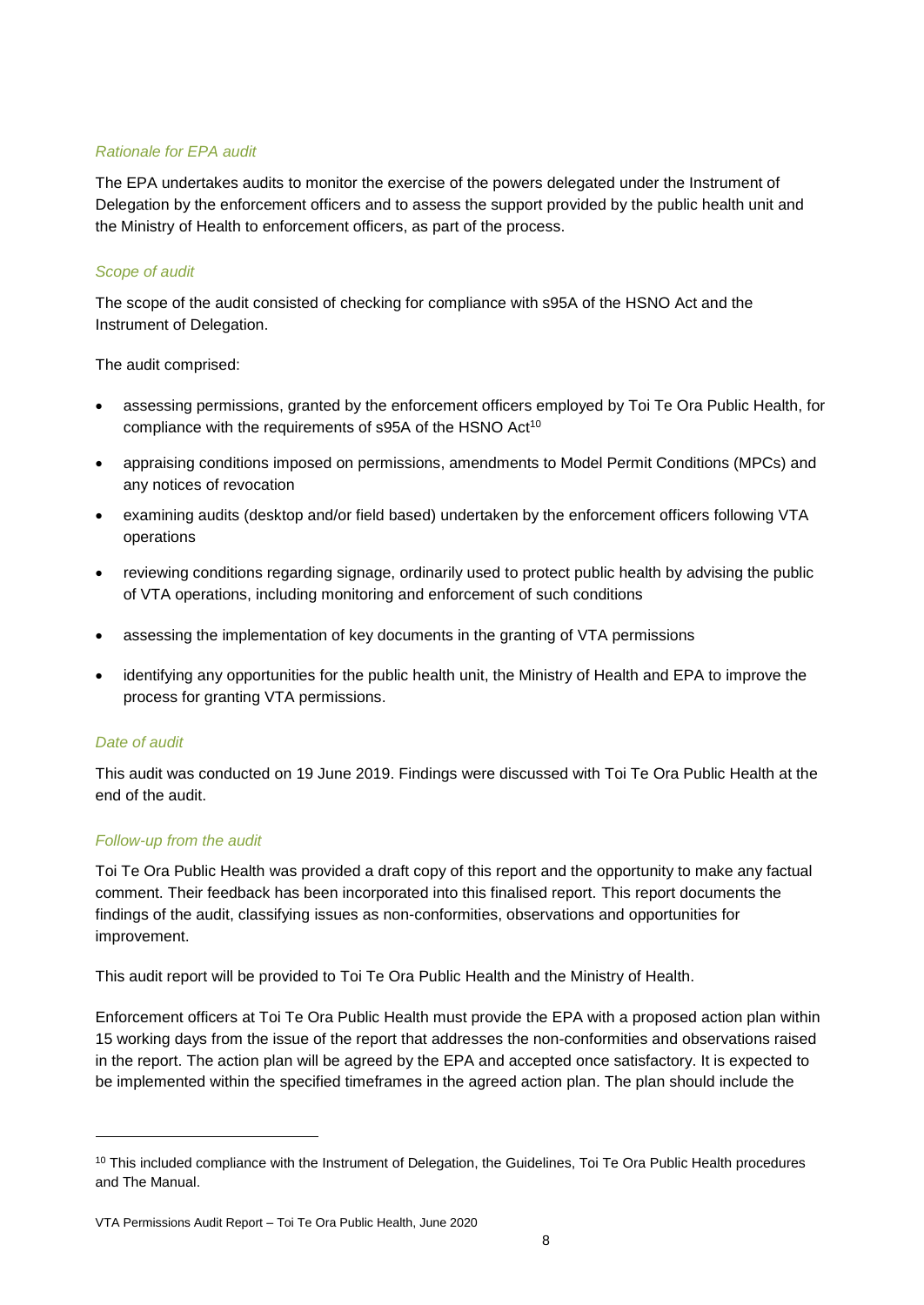#### *Rationale for EPA audit*

The EPA undertakes audits to monitor the exercise of the powers delegated under the Instrument of Delegation by the enforcement officers and to assess the support provided by the public health unit and the Ministry of Health to enforcement officers, as part of the process.

#### *Scope of audit*

The scope of the audit consisted of checking for compliance with s95A of the HSNO Act and the Instrument of Delegation.

The audit comprised:

- assessing permissions, granted by the enforcement officers employed by Toi Te Ora Public Health, for compliance with the requirements of s95A of the HSNO Act<sup>10</sup>
- appraising conditions imposed on permissions, amendments to Model Permit Conditions (MPCs) and any notices of revocation
- examining audits (desktop and/or field based) undertaken by the enforcement officers following VTA operations
- reviewing conditions regarding signage, ordinarily used to protect public health by advising the public of VTA operations, including monitoring and enforcement of such conditions
- assessing the implementation of key documents in the granting of VTA permissions
- identifying any opportunities for the public health unit, the Ministry of Health and EPA to improve the process for granting VTA permissions.

#### *Date of audit*

l

This audit was conducted on 19 June 2019. Findings were discussed with Toi Te Ora Public Health at the end of the audit.

#### *Follow-up from the audit*

Toi Te Ora Public Health was provided a draft copy of this report and the opportunity to make any factual comment. Their feedback has been incorporated into this finalised report. This report documents the findings of the audit, classifying issues as non-conformities, observations and opportunities for improvement.

This audit report will be provided to Toi Te Ora Public Health and the Ministry of Health.

Enforcement officers at Toi Te Ora Public Health must provide the EPA with a proposed action plan within 15 working days from the issue of the report that addresses the non-conformities and observations raised in the report. The action plan will be agreed by the EPA and accepted once satisfactory. It is expected to be implemented within the specified timeframes in the agreed action plan. The plan should include the

<sup>&</sup>lt;sup>10</sup> This included compliance with the Instrument of Delegation, the Guidelines, Toi Te Ora Public Health procedures and The Manual.

VTA Permissions Audit Report – Toi Te Ora Public Health, June 2020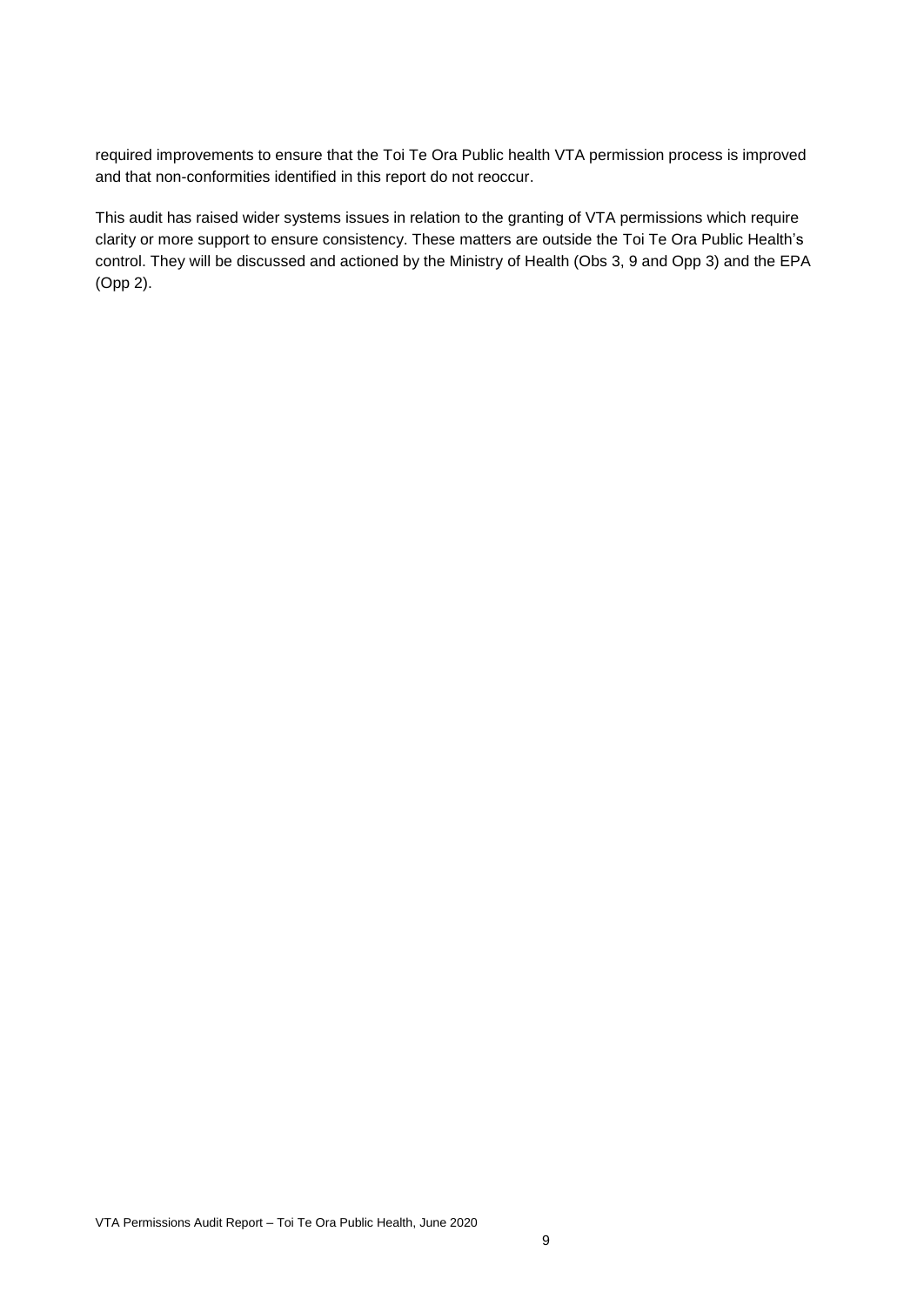required improvements to ensure that the Toi Te Ora Public health VTA permission process is improved and that non-conformities identified in this report do not reoccur.

This audit has raised wider systems issues in relation to the granting of VTA permissions which require clarity or more support to ensure consistency. These matters are outside the Toi Te Ora Public Health's control. They will be discussed and actioned by the Ministry of Health (Obs 3, 9 and Opp 3) and the EPA (Opp 2).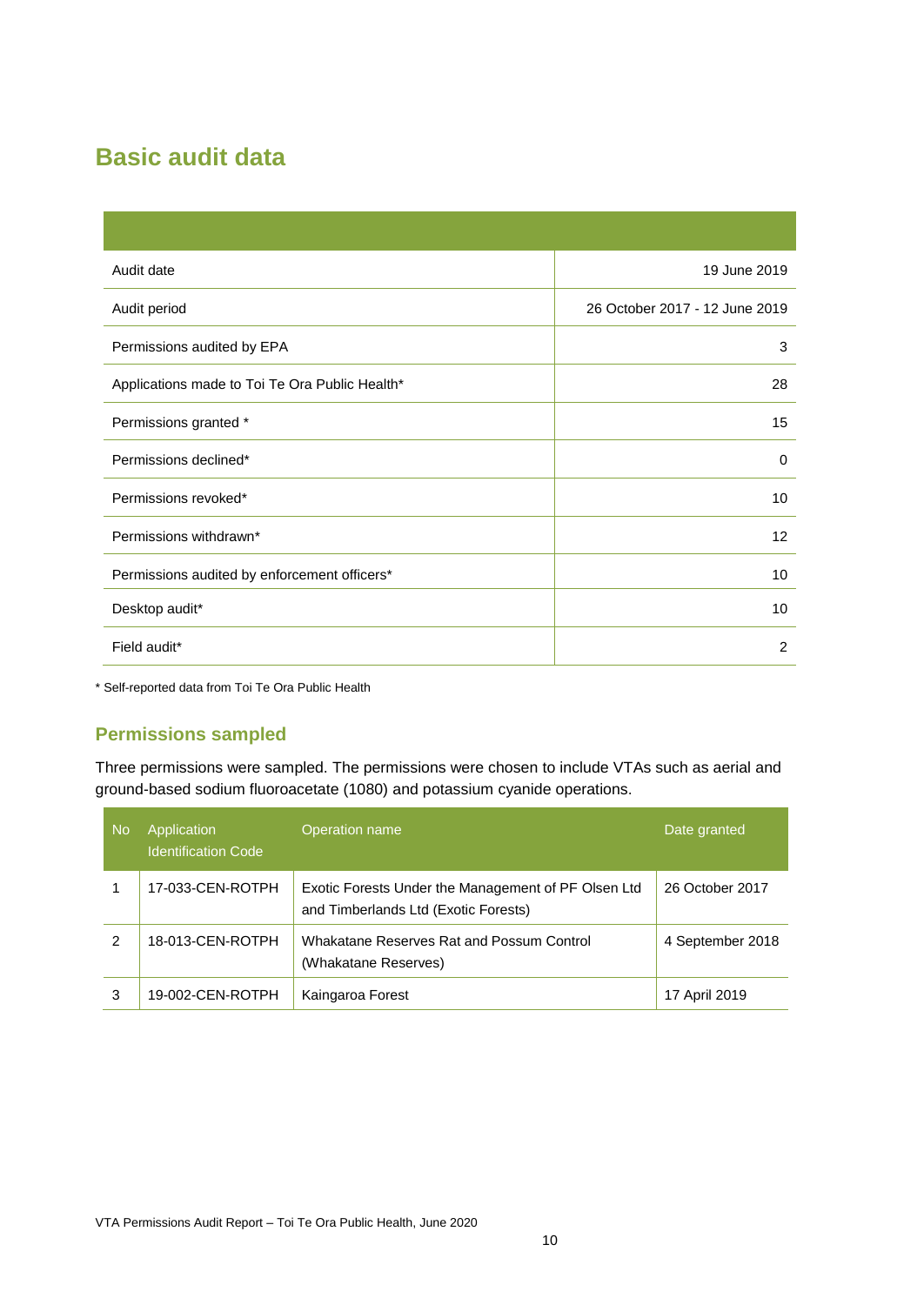### <span id="page-9-0"></span>**Basic audit data**

| Audit date                                     | 19 June 2019                   |
|------------------------------------------------|--------------------------------|
| Audit period                                   | 26 October 2017 - 12 June 2019 |
| Permissions audited by EPA                     | 3                              |
| Applications made to Toi Te Ora Public Health* | 28                             |
| Permissions granted *                          | 15                             |
| Permissions declined*                          | $\Omega$                       |
| Permissions revoked*                           | 10                             |
| Permissions withdrawn*                         | $12 \overline{ }$              |
| Permissions audited by enforcement officers*   | 10                             |
| Desktop audit*                                 | 10                             |
| Field audit*                                   | 2                              |

\* Self-reported data from Toi Te Ora Public Health

#### **Permissions sampled**

Three permissions were sampled. The permissions were chosen to include VTAs such as aerial and ground-based sodium fluoroacetate (1080) and potassium cyanide operations.

| <b>No</b> | Application<br><b>Identification Code</b> | Operation name                                                                              | Date granted     |
|-----------|-------------------------------------------|---------------------------------------------------------------------------------------------|------------------|
|           | 17-033-CEN-ROTPH                          | Exotic Forests Under the Management of PF Olsen Ltd<br>and Timberlands Ltd (Exotic Forests) | 26 October 2017  |
| 2         | 18-013-CEN-ROTPH                          | Whakatane Reserves Rat and Possum Control<br>(Whakatane Reserves)                           | 4 September 2018 |
| 3         | 19-002-CEN-ROTPH                          | Kaingaroa Forest                                                                            | 17 April 2019    |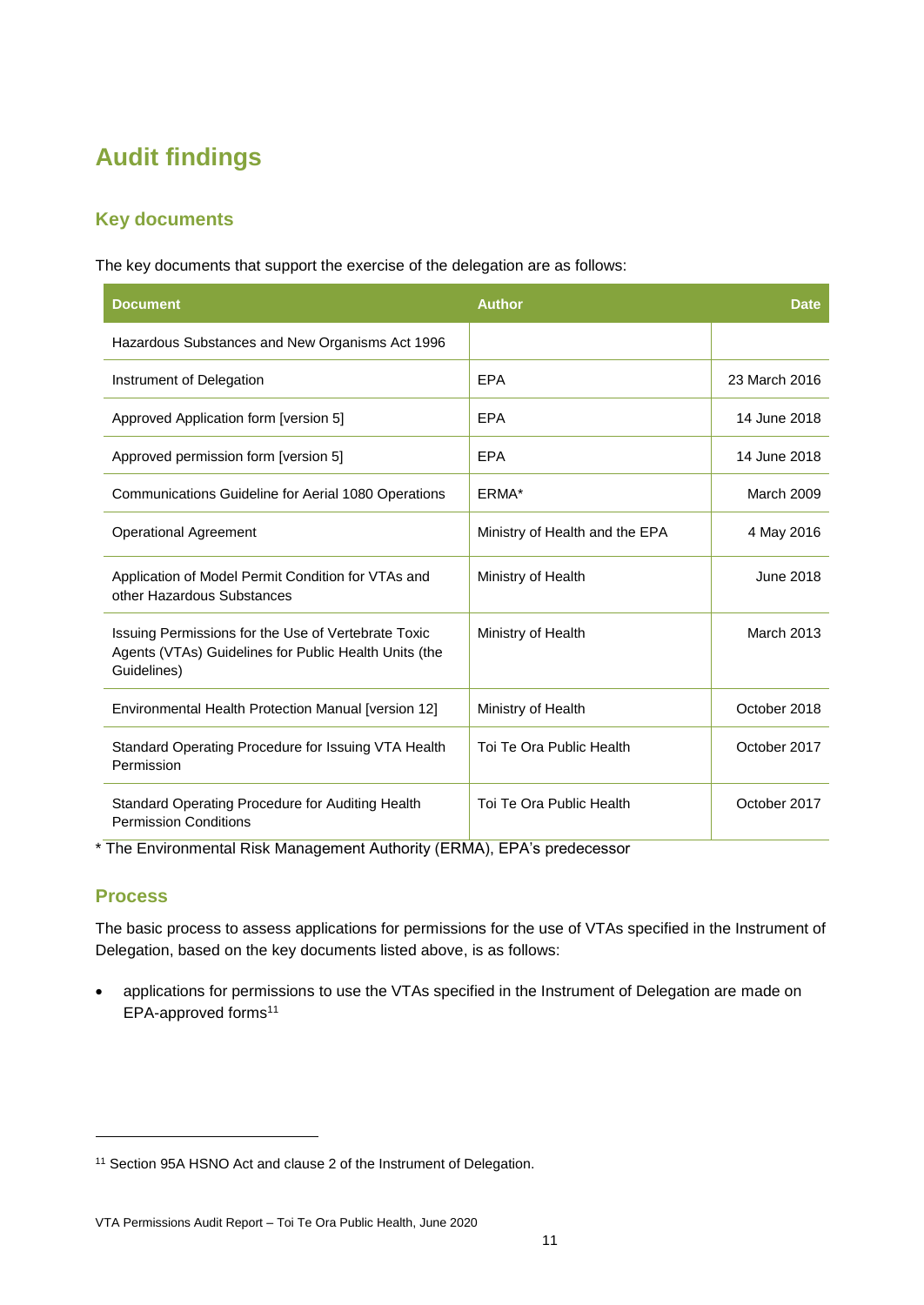### <span id="page-10-1"></span><span id="page-10-0"></span>**Audit findings**

#### **Key documents**

The key documents that support the exercise of the delegation are as follows:

| <b>Document</b>                                                                                                             | <b>Author</b>                  | <b>Date</b>       |
|-----------------------------------------------------------------------------------------------------------------------------|--------------------------------|-------------------|
| Hazardous Substances and New Organisms Act 1996                                                                             |                                |                   |
| Instrument of Delegation                                                                                                    | <b>EPA</b>                     | 23 March 2016     |
| Approved Application form [version 5]                                                                                       | EPA                            | 14 June 2018      |
| Approved permission form [version 5]                                                                                        | EPA                            | 14 June 2018      |
| Communications Guideline for Aerial 1080 Operations                                                                         | ERMA*                          | March 2009        |
| <b>Operational Agreement</b>                                                                                                | Ministry of Health and the EPA | 4 May 2016        |
| Application of Model Permit Condition for VTAs and<br>other Hazardous Substances                                            | Ministry of Health             | June 2018         |
| Issuing Permissions for the Use of Vertebrate Toxic<br>Agents (VTAs) Guidelines for Public Health Units (the<br>Guidelines) | Ministry of Health             | <b>March 2013</b> |
| Environmental Health Protection Manual [version 12]                                                                         | Ministry of Health             | October 2018      |
| Standard Operating Procedure for Issuing VTA Health<br>Permission                                                           | Toi Te Ora Public Health       | October 2017      |
| Standard Operating Procedure for Auditing Health<br><b>Permission Conditions</b>                                            | Toi Te Ora Public Health       | October 2017      |

\* The Environmental Risk Management Authority (ERMA), EPA's predecessor

#### **Process**

l

The basic process to assess applications for permissions for the use of VTAs specified in the Instrument of Delegation, based on the key documents listed above, is as follows:

 applications for permissions to use the VTAs specified in the Instrument of Delegation are made on EPA-approved forms<sup>11</sup>

<sup>&</sup>lt;sup>11</sup> Section 95A HSNO Act and clause 2 of the Instrument of Delegation.

VTA Permissions Audit Report – Toi Te Ora Public Health, June 2020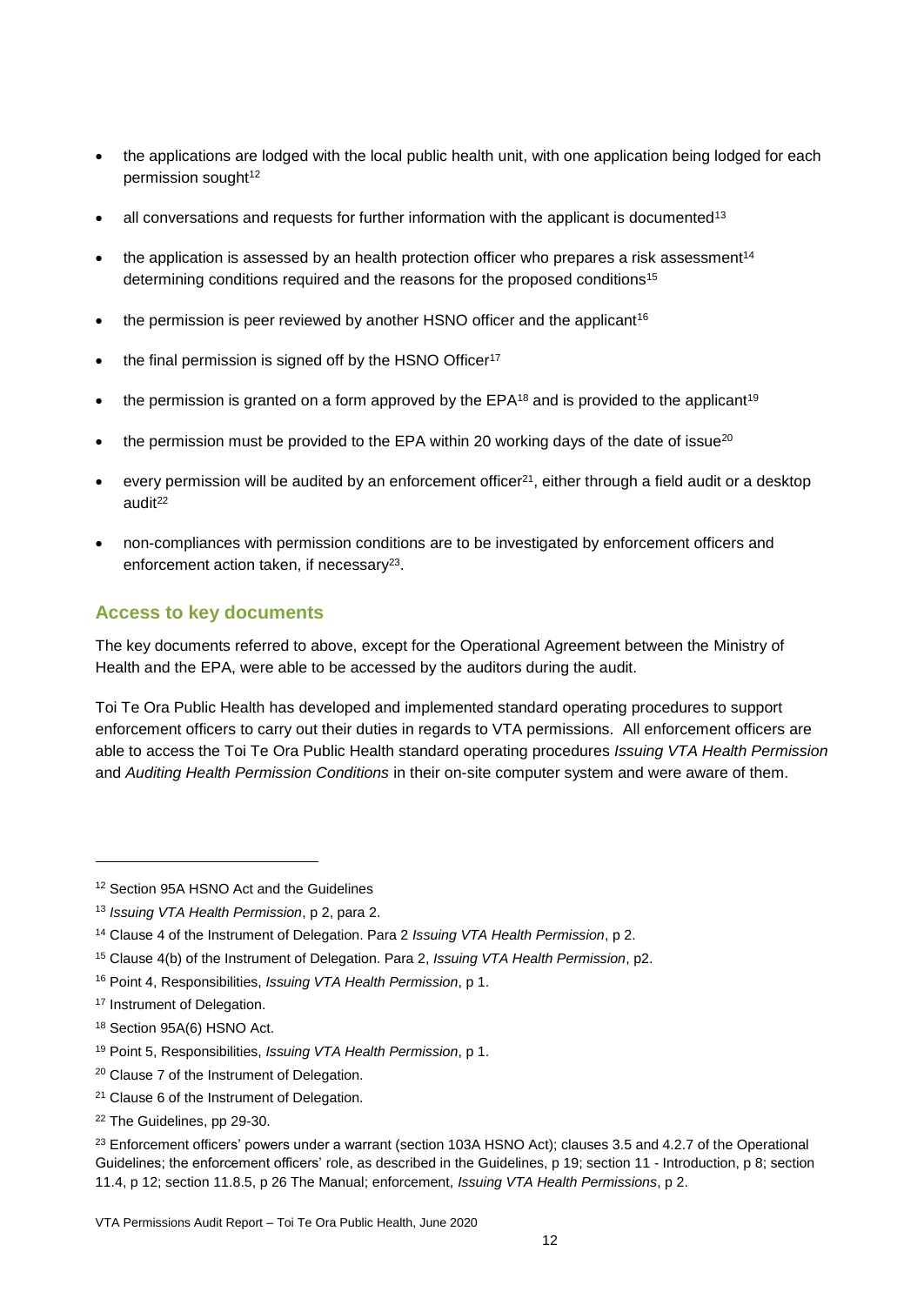- the applications are lodged with the local public health unit, with one application being lodged for each permission sought<sup>12</sup>
- $\bullet$  all conversations and requests for further information with the applicant is documented<sup>13</sup>
- the application is assessed by an health protection officer who prepares a risk assessment<sup>14</sup> determining conditions required and the reasons for the proposed conditions<sup>15</sup>
- the permission is peer reviewed by another HSNO officer and the applicant<sup>16</sup>
- the final permission is signed off by the HSNO Officer<sup>17</sup>
- the permission is granted on a form approved by the  $EPA^{18}$  and is provided to the applicant<sup>19</sup>
- the permission must be provided to the EPA within 20 working days of the date of issue $20$
- every permission will be audited by an enforcement officer $2<sup>1</sup>$ , either through a field audit or a desktop audit<sup>22</sup>
- non-compliances with permission conditions are to be investigated by enforcement officers and enforcement action taken, if necessary<sup>23</sup>.

#### **Access to key documents**

The key documents referred to above, except for the Operational Agreement between the Ministry of Health and the EPA, were able to be accessed by the auditors during the audit.

Toi Te Ora Public Health has developed and implemented standard operating procedures to support enforcement officers to carry out their duties in regards to VTA permissions. All enforcement officers are able to access the Toi Te Ora Public Health standard operating procedures *Issuing VTA Health Permission* and *Auditing Health Permission Conditions* in their on-site computer system and were aware of them.

- <sup>19</sup> Point 5, Responsibilities, *Issuing VTA Health Permission*, p 1.
- <sup>20</sup> Clause 7 of the Instrument of Delegation.
- <sup>21</sup> Clause 6 of the Instrument of Delegation.
- <sup>22</sup> The Guidelines, pp 29-30.

<sup>12</sup> Section 95A HSNO Act and the Guidelines

<sup>13</sup> *Issuing VTA Health Permission*, p 2, para 2.

<sup>14</sup> Clause 4 of the Instrument of Delegation. Para 2 *Issuing VTA Health Permission*, p 2.

<sup>15</sup> Clause 4(b) of the Instrument of Delegation. Para 2, *Issuing VTA Health Permission*, p2.

<sup>16</sup> Point 4, Responsibilities, *Issuing VTA Health Permission*, p 1.

<sup>17</sup> Instrument of Delegation.

<sup>18</sup> Section 95A(6) HSNO Act.

<sup>&</sup>lt;sup>23</sup> Enforcement officers' powers under a warrant (section 103A HSNO Act); clauses 3.5 and 4.2.7 of the Operational Guidelines; the enforcement officers' role, as described in the Guidelines, p 19; section 11 - Introduction, p 8; section 11.4, p 12; section 11.8.5, p 26 The Manual; enforcement, *Issuing VTA Health Permissions*, p 2.

VTA Permissions Audit Report – Toi Te Ora Public Health, June 2020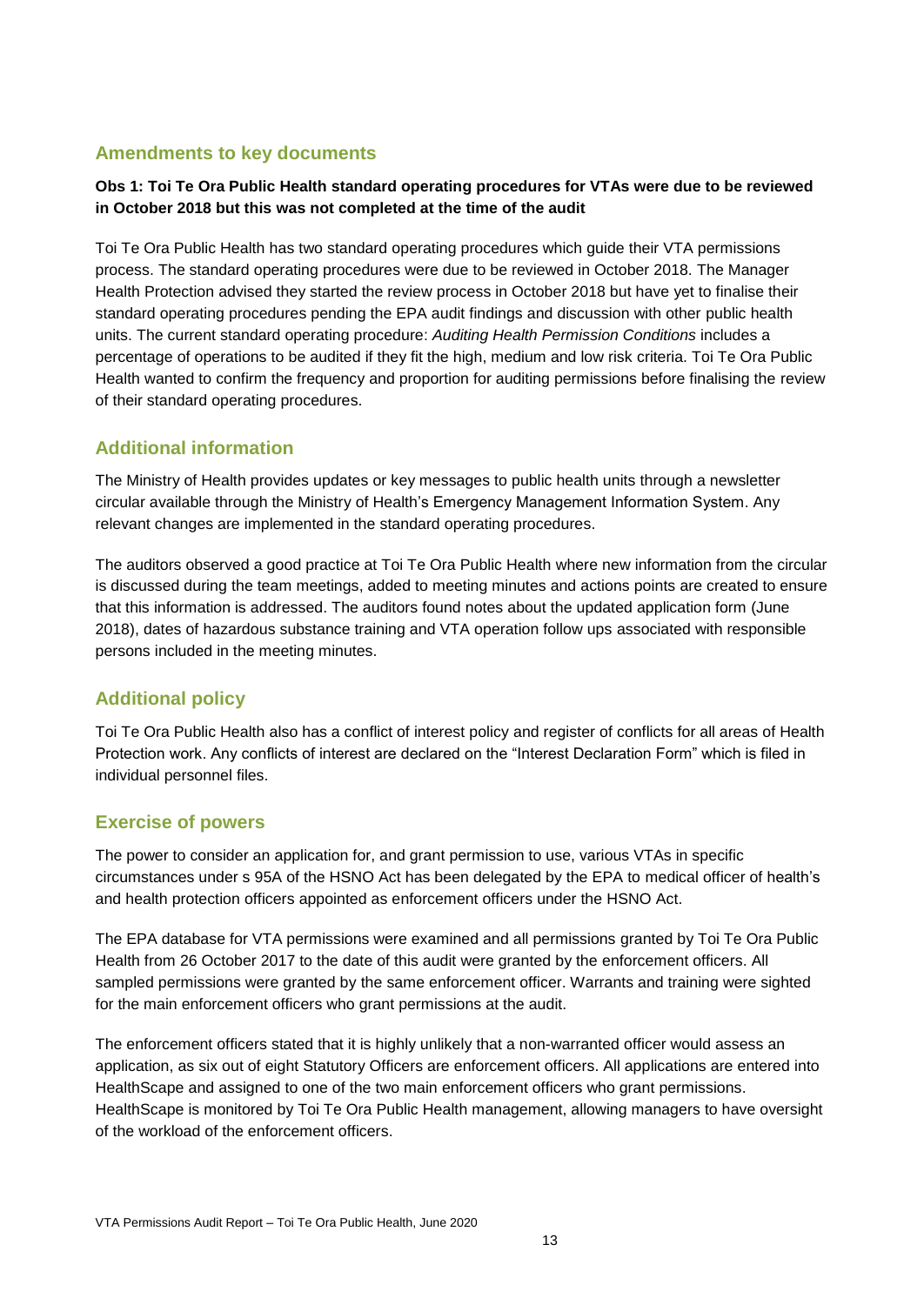#### **Amendments to key documents**

#### **Obs 1: Toi Te Ora Public Health standard operating procedures for VTAs were due to be reviewed in October 2018 but this was not completed at the time of the audit**

Toi Te Ora Public Health has two standard operating procedures which guide their VTA permissions process. The standard operating procedures were due to be reviewed in October 2018. The Manager Health Protection advised they started the review process in October 2018 but have yet to finalise their standard operating procedures pending the EPA audit findings and discussion with other public health units. The current standard operating procedure: *Auditing Health Permission Conditions* includes a percentage of operations to be audited if they fit the high, medium and low risk criteria. Toi Te Ora Public Health wanted to confirm the frequency and proportion for auditing permissions before finalising the review of their standard operating procedures.

#### **Additional information**

The Ministry of Health provides updates or key messages to public health units through a newsletter circular available through the Ministry of Health's Emergency Management Information System. Any relevant changes are implemented in the standard operating procedures.

The auditors observed a good practice at Toi Te Ora Public Health where new information from the circular is discussed during the team meetings, added to meeting minutes and actions points are created to ensure that this information is addressed. The auditors found notes about the updated application form (June 2018), dates of hazardous substance training and VTA operation follow ups associated with responsible persons included in the meeting minutes.

#### **Additional policy**

Toi Te Ora Public Health also has a conflict of interest policy and register of conflicts for all areas of Health Protection work. Any conflicts of interest are declared on the "Interest Declaration Form" which is filed in individual personnel files.

#### **Exercise of powers**

The power to consider an application for, and grant permission to use, various VTAs in specific circumstances under s 95A of the HSNO Act has been delegated by the EPA to medical officer of health's and health protection officers appointed as enforcement officers under the HSNO Act.

The EPA database for VTA permissions were examined and all permissions granted by Toi Te Ora Public Health from 26 October 2017 to the date of this audit were granted by the enforcement officers. All sampled permissions were granted by the same enforcement officer. Warrants and training were sighted for the main enforcement officers who grant permissions at the audit.

The enforcement officers stated that it is highly unlikely that a non-warranted officer would assess an application, as six out of eight Statutory Officers are enforcement officers. All applications are entered into HealthScape and assigned to one of the two main enforcement officers who grant permissions. HealthScape is monitored by Toi Te Ora Public Health management, allowing managers to have oversight of the workload of the enforcement officers.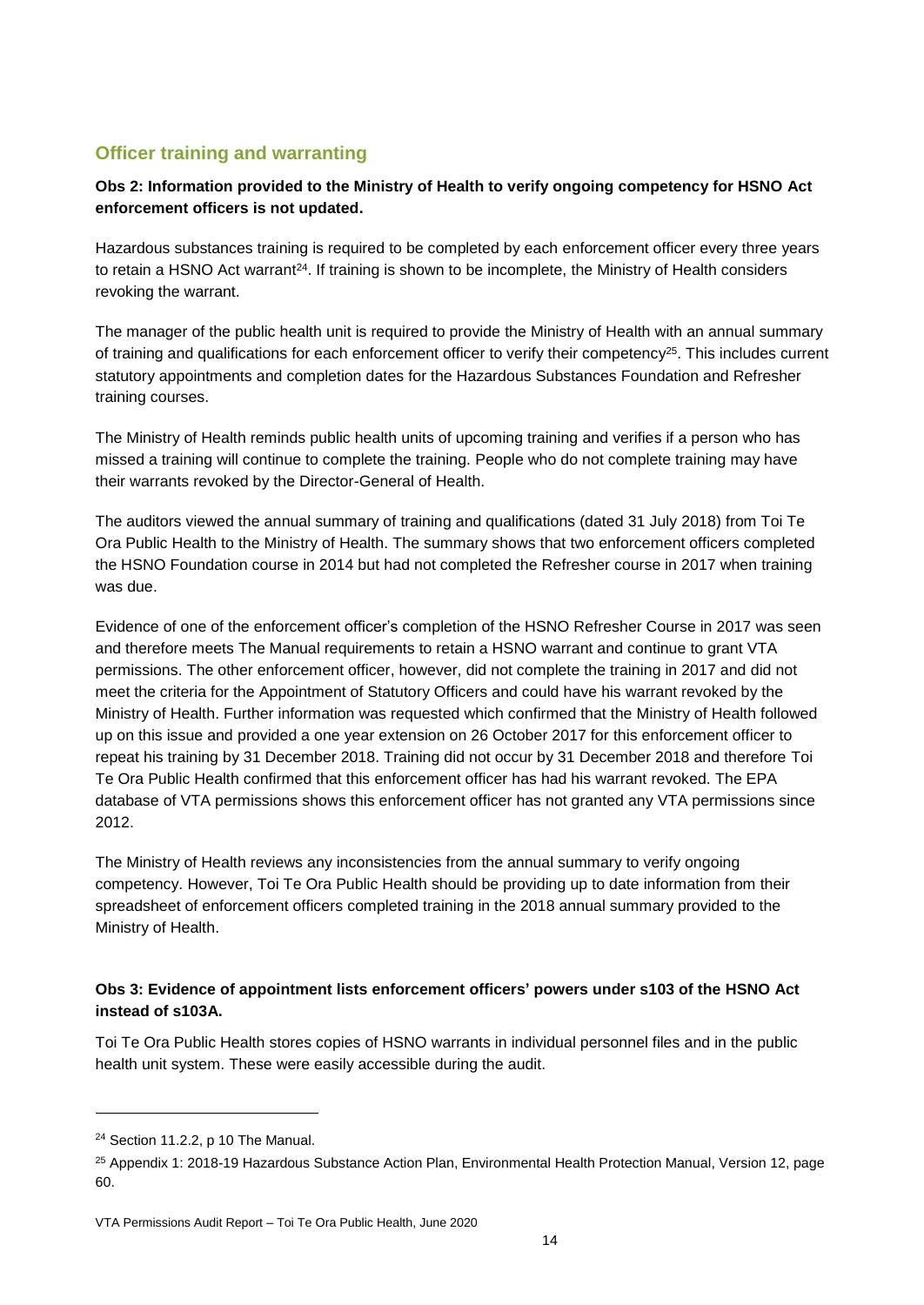#### **Officer training and warranting**

#### **Obs 2: Information provided to the Ministry of Health to verify ongoing competency for HSNO Act enforcement officers is not updated.**

Hazardous substances training is required to be completed by each enforcement officer every three years to retain a HSNO Act warrant<sup>24</sup>. If training is shown to be incomplete, the Ministry of Health considers revoking the warrant.

The manager of the public health unit is required to provide the Ministry of Health with an annual summary of training and qualifications for each enforcement officer to verify their competency<sup>25</sup>. This includes current statutory appointments and completion dates for the Hazardous Substances Foundation and Refresher training courses.

The Ministry of Health reminds public health units of upcoming training and verifies if a person who has missed a training will continue to complete the training. People who do not complete training may have their warrants revoked by the Director-General of Health.

The auditors viewed the annual summary of training and qualifications (dated 31 July 2018) from Toi Te Ora Public Health to the Ministry of Health. The summary shows that two enforcement officers completed the HSNO Foundation course in 2014 but had not completed the Refresher course in 2017 when training was due.

Evidence of one of the enforcement officer's completion of the HSNO Refresher Course in 2017 was seen and therefore meets The Manual requirements to retain a HSNO warrant and continue to grant VTA permissions. The other enforcement officer, however, did not complete the training in 2017 and did not meet the criteria for the Appointment of Statutory Officers and could have his warrant revoked by the Ministry of Health. Further information was requested which confirmed that the Ministry of Health followed up on this issue and provided a one year extension on 26 October 2017 for this enforcement officer to repeat his training by 31 December 2018. Training did not occur by 31 December 2018 and therefore Toi Te Ora Public Health confirmed that this enforcement officer has had his warrant revoked. The EPA database of VTA permissions shows this enforcement officer has not granted any VTA permissions since 2012.

The Ministry of Health reviews any inconsistencies from the annual summary to verify ongoing competency. However, Toi Te Ora Public Health should be providing up to date information from their spreadsheet of enforcement officers completed training in the 2018 annual summary provided to the Ministry of Health.

#### **Obs 3: Evidence of appointment lists enforcement officers' powers under s103 of the HSNO Act instead of s103A.**

Toi Te Ora Public Health stores copies of HSNO warrants in individual personnel files and in the public health unit system. These were easily accessible during the audit.

<sup>24</sup> Section 11.2.2, p 10 The Manual.

<sup>25</sup> Appendix 1: 2018-19 Hazardous Substance Action Plan, Environmental Health Protection Manual, Version 12, page 60.

VTA Permissions Audit Report – Toi Te Ora Public Health, June 2020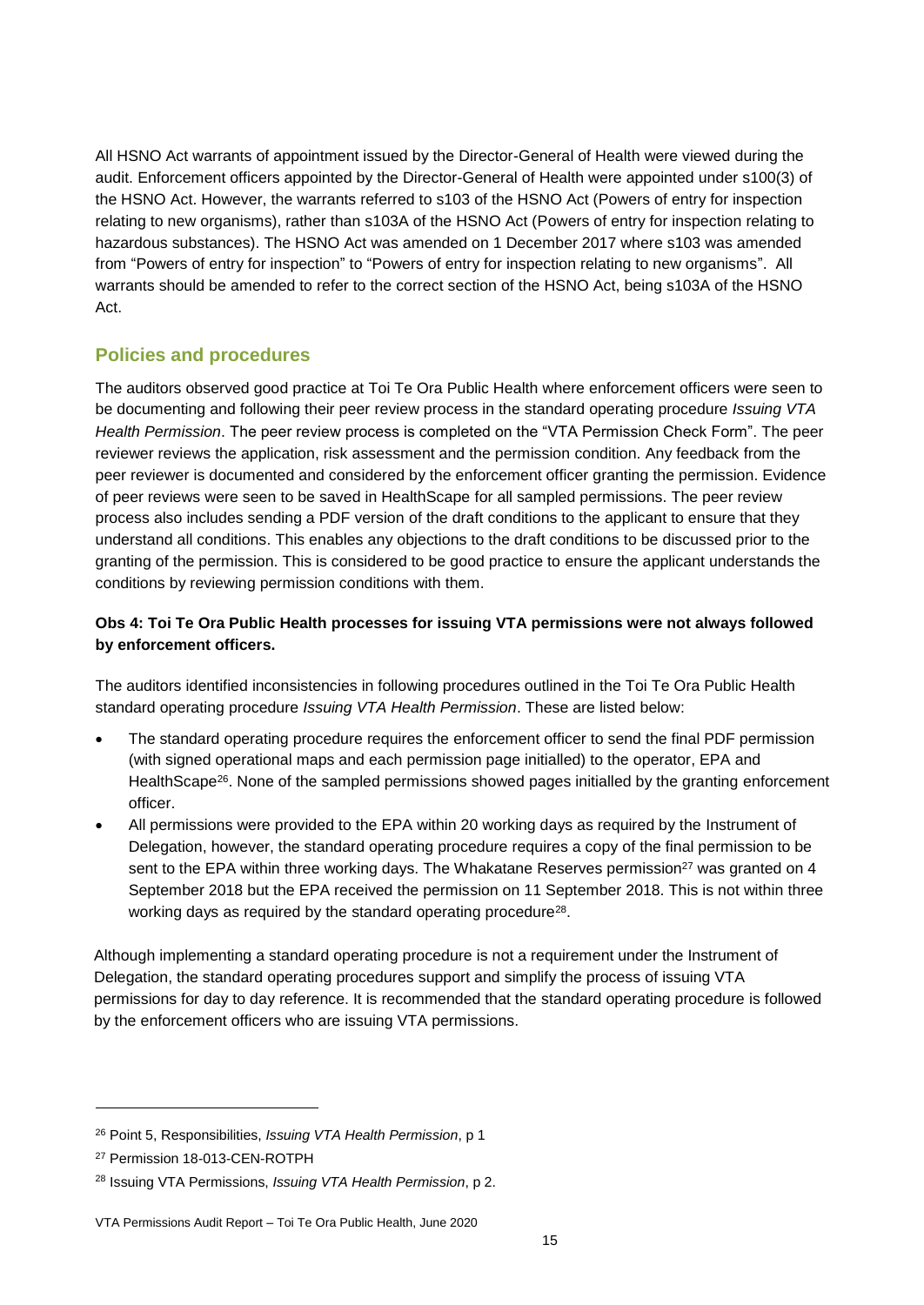All HSNO Act warrants of appointment issued by the Director-General of Health were viewed during the audit. Enforcement officers appointed by the Director-General of Health were appointed under s100(3) of the HSNO Act. However, the warrants referred to s103 of the HSNO Act (Powers of entry for inspection relating to new organisms), rather than s103A of the HSNO Act (Powers of entry for inspection relating to hazardous substances). The HSNO Act was amended on 1 December 2017 where s103 was amended from "Powers of entry for inspection" to "Powers of entry for inspection relating to new organisms". All warrants should be amended to refer to the correct section of the HSNO Act, being s103A of the HSNO Act.

#### **Policies and procedures**

The auditors observed good practice at Toi Te Ora Public Health where enforcement officers were seen to be documenting and following their peer review process in the standard operating procedure *Issuing VTA Health Permission*. The peer review process is completed on the "VTA Permission Check Form". The peer reviewer reviews the application, risk assessment and the permission condition. Any feedback from the peer reviewer is documented and considered by the enforcement officer granting the permission. Evidence of peer reviews were seen to be saved in HealthScape for all sampled permissions. The peer review process also includes sending a PDF version of the draft conditions to the applicant to ensure that they understand all conditions. This enables any objections to the draft conditions to be discussed prior to the granting of the permission. This is considered to be good practice to ensure the applicant understands the conditions by reviewing permission conditions with them.

#### **Obs 4: Toi Te Ora Public Health processes for issuing VTA permissions were not always followed by enforcement officers.**

The auditors identified inconsistencies in following procedures outlined in the Toi Te Ora Public Health standard operating procedure *Issuing VTA Health Permission*. These are listed below:

- The standard operating procedure requires the enforcement officer to send the final PDF permission (with signed operational maps and each permission page initialled) to the operator, EPA and HealthScape<sup>26</sup>. None of the sampled permissions showed pages initialled by the granting enforcement officer.
- All permissions were provided to the EPA within 20 working days as required by the Instrument of Delegation, however, the standard operating procedure requires a copy of the final permission to be sent to the EPA within three working days. The Whakatane Reserves permission<sup>27</sup> was granted on 4 September 2018 but the EPA received the permission on 11 September 2018. This is not within three working days as required by the standard operating procedure<sup>28</sup>.

Although implementing a standard operating procedure is not a requirement under the Instrument of Delegation, the standard operating procedures support and simplify the process of issuing VTA permissions for day to day reference. It is recommended that the standard operating procedure is followed by the enforcement officers who are issuing VTA permissions.

<sup>26</sup> Point 5, Responsibilities, *Issuing VTA Health Permission*, p 1

<sup>27</sup> Permission 18-013-CEN-ROTPH

<sup>28</sup> Issuing VTA Permissions, *Issuing VTA Health Permission*, p 2.

VTA Permissions Audit Report – Toi Te Ora Public Health, June 2020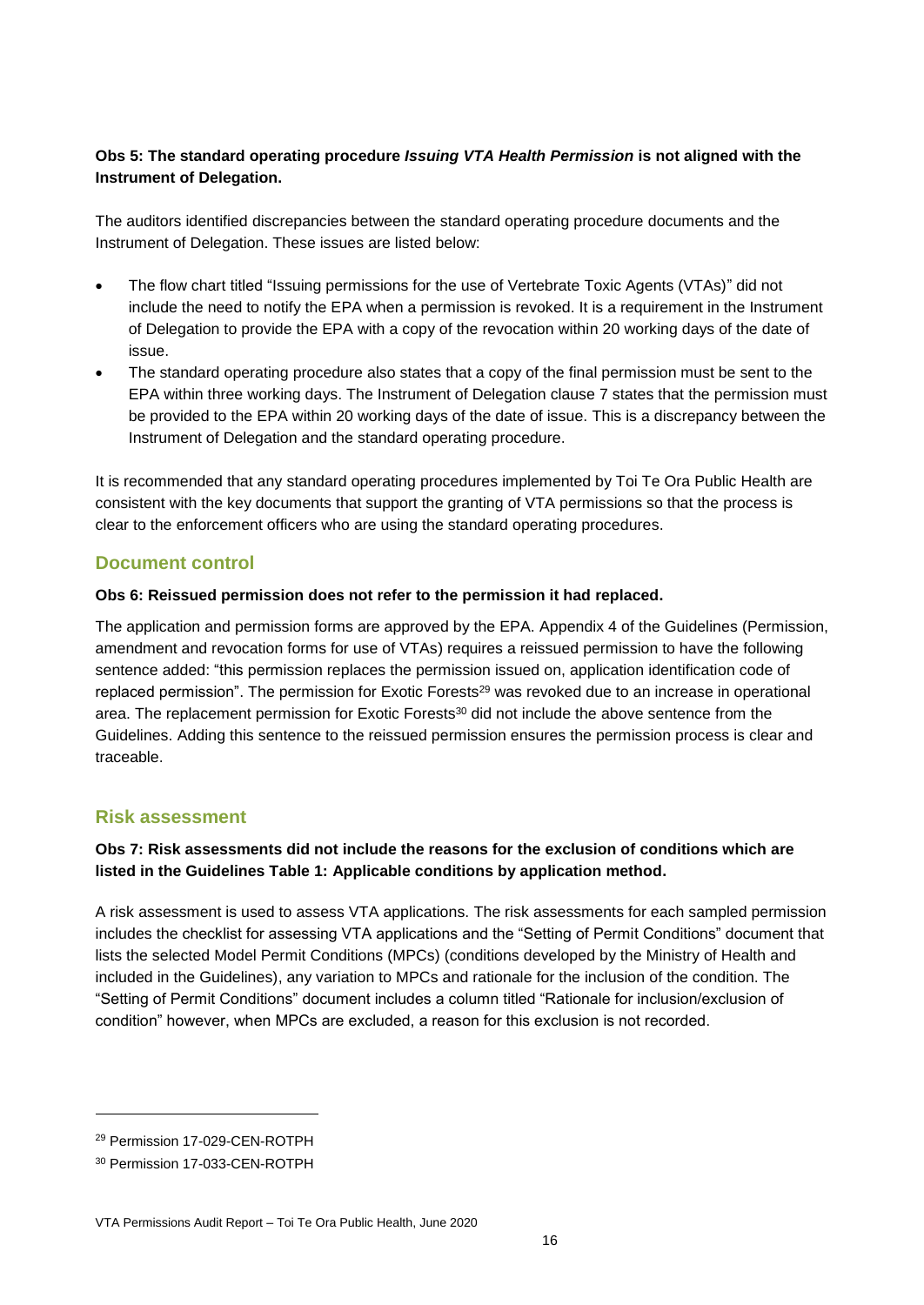#### **Obs 5: The standard operating procedure** *Issuing VTA Health Permission* **is not aligned with the Instrument of Delegation.**

The auditors identified discrepancies between the standard operating procedure documents and the Instrument of Delegation. These issues are listed below:

- The flow chart titled "Issuing permissions for the use of Vertebrate Toxic Agents (VTAs)" did not include the need to notify the EPA when a permission is revoked. It is a requirement in the Instrument of Delegation to provide the EPA with a copy of the revocation within 20 working days of the date of issue.
- The standard operating procedure also states that a copy of the final permission must be sent to the EPA within three working days. The Instrument of Delegation clause 7 states that the permission must be provided to the EPA within 20 working days of the date of issue. This is a discrepancy between the Instrument of Delegation and the standard operating procedure.

It is recommended that any standard operating procedures implemented by Toi Te Ora Public Health are consistent with the key documents that support the granting of VTA permissions so that the process is clear to the enforcement officers who are using the standard operating procedures.

#### **Document control**

#### **Obs 6: Reissued permission does not refer to the permission it had replaced.**

The application and permission forms are approved by the EPA. Appendix 4 of the Guidelines (Permission, amendment and revocation forms for use of VTAs) requires a reissued permission to have the following sentence added: "this permission replaces the permission issued on, application identification code of replaced permission". The permission for Exotic Forests<sup>29</sup> was revoked due to an increase in operational area. The replacement permission for Exotic Forests<sup>30</sup> did not include the above sentence from the Guidelines. Adding this sentence to the reissued permission ensures the permission process is clear and traceable.

#### **Risk assessment**

#### **Obs 7: Risk assessments did not include the reasons for the exclusion of conditions which are listed in the Guidelines Table 1: Applicable conditions by application method.**

A risk assessment is used to assess VTA applications. The risk assessments for each sampled permission includes the checklist for assessing VTA applications and the "Setting of Permit Conditions" document that lists the selected Model Permit Conditions (MPCs) (conditions developed by the Ministry of Health and included in the Guidelines), any variation to MPCs and rationale for the inclusion of the condition. The "Setting of Permit Conditions" document includes a column titled "Rationale for inclusion/exclusion of condition" however, when MPCs are excluded, a reason for this exclusion is not recorded.

<sup>29</sup> Permission 17-029-CEN-ROTPH

<sup>30</sup> Permission 17-033-CEN-ROTPH

VTA Permissions Audit Report – Toi Te Ora Public Health, June 2020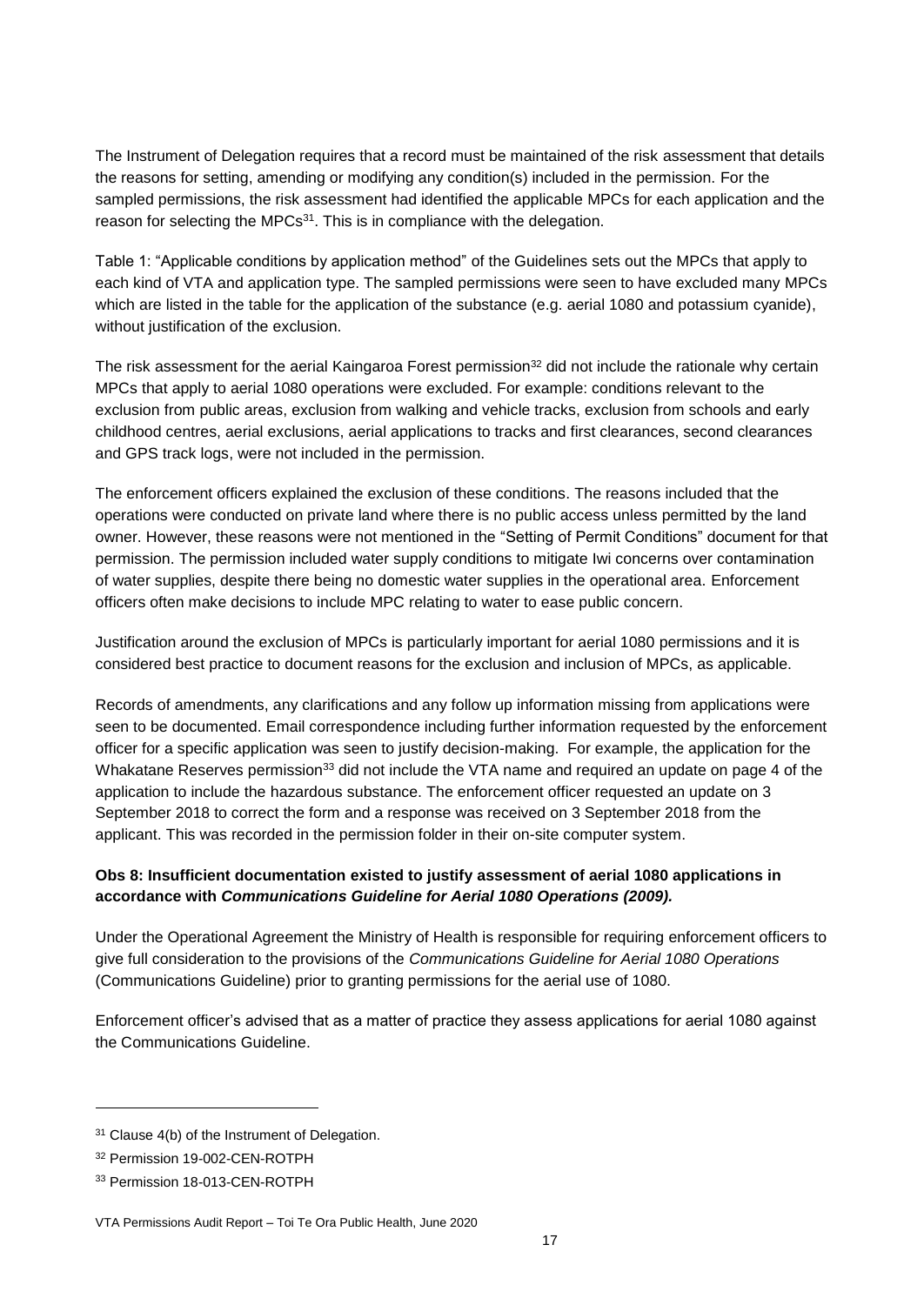The Instrument of Delegation requires that a record must be maintained of the risk assessment that details the reasons for setting, amending or modifying any condition(s) included in the permission. For the sampled permissions, the risk assessment had identified the applicable MPCs for each application and the reason for selecting the MPCs<sup>31</sup>. This is in compliance with the delegation.

Table 1: "Applicable conditions by application method" of the Guidelines sets out the MPCs that apply to each kind of VTA and application type. The sampled permissions were seen to have excluded many MPCs which are listed in the table for the application of the substance (e.g. aerial 1080 and potassium cyanide), without justification of the exclusion.

The risk assessment for the aerial Kaingaroa Forest permission<sup>32</sup> did not include the rationale why certain MPCs that apply to aerial 1080 operations were excluded. For example: conditions relevant to the exclusion from public areas, exclusion from walking and vehicle tracks, exclusion from schools and early childhood centres, aerial exclusions, aerial applications to tracks and first clearances, second clearances and GPS track logs, were not included in the permission.

The enforcement officers explained the exclusion of these conditions. The reasons included that the operations were conducted on private land where there is no public access unless permitted by the land owner. However, these reasons were not mentioned in the "Setting of Permit Conditions" document for that permission. The permission included water supply conditions to mitigate Iwi concerns over contamination of water supplies, despite there being no domestic water supplies in the operational area. Enforcement officers often make decisions to include MPC relating to water to ease public concern.

Justification around the exclusion of MPCs is particularly important for aerial 1080 permissions and it is considered best practice to document reasons for the exclusion and inclusion of MPCs, as applicable.

Records of amendments, any clarifications and any follow up information missing from applications were seen to be documented. Email correspondence including further information requested by the enforcement officer for a specific application was seen to justify decision-making. For example, the application for the Whakatane Reserves permission<sup>33</sup> did not include the VTA name and required an update on page 4 of the application to include the hazardous substance. The enforcement officer requested an update on 3 September 2018 to correct the form and a response was received on 3 September 2018 from the applicant. This was recorded in the permission folder in their on-site computer system.

#### **Obs 8: Insufficient documentation existed to justify assessment of aerial 1080 applications in accordance with** *Communications Guideline for Aerial 1080 Operations (2009).*

Under the Operational Agreement the Ministry of Health is responsible for requiring enforcement officers to give full consideration to the provisions of the *Communications Guideline for Aerial 1080 Operations* (Communications Guideline) prior to granting permissions for the aerial use of 1080.

Enforcement officer's advised that as a matter of practice they assess applications for aerial 1080 against the Communications Guideline.

<sup>&</sup>lt;sup>31</sup> Clause 4(b) of the Instrument of Delegation.

<sup>32</sup> Permission 19-002-CEN-ROTPH

<sup>33</sup> Permission 18-013-CEN-ROTPH

VTA Permissions Audit Report – Toi Te Ora Public Health, June 2020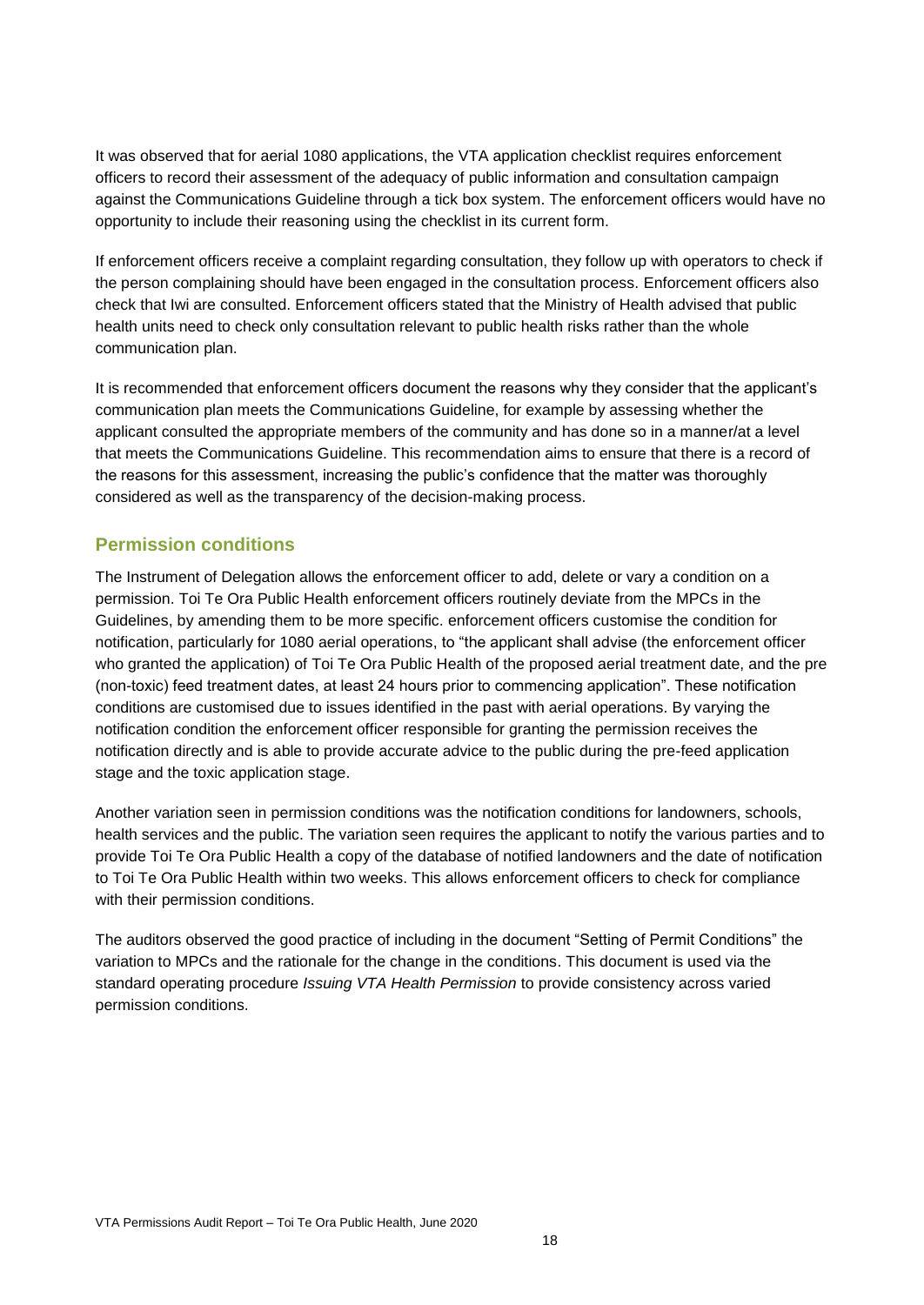It was observed that for aerial 1080 applications, the VTA application checklist requires enforcement officers to record their assessment of the adequacy of public information and consultation campaign against the Communications Guideline through a tick box system. The enforcement officers would have no opportunity to include their reasoning using the checklist in its current form.

If enforcement officers receive a complaint regarding consultation, they follow up with operators to check if the person complaining should have been engaged in the consultation process. Enforcement officers also check that Iwi are consulted. Enforcement officers stated that the Ministry of Health advised that public health units need to check only consultation relevant to public health risks rather than the whole communication plan.

It is recommended that enforcement officers document the reasons why they consider that the applicant's communication plan meets the Communications Guideline, for example by assessing whether the applicant consulted the appropriate members of the community and has done so in a manner/at a level that meets the Communications Guideline. This recommendation aims to ensure that there is a record of the reasons for this assessment, increasing the public's confidence that the matter was thoroughly considered as well as the transparency of the decision-making process.

#### **Permission conditions**

The Instrument of Delegation allows the enforcement officer to add, delete or vary a condition on a permission. Toi Te Ora Public Health enforcement officers routinely deviate from the MPCs in the Guidelines, by amending them to be more specific. enforcement officers customise the condition for notification, particularly for 1080 aerial operations, to "the applicant shall advise (the enforcement officer who granted the application) of Toi Te Ora Public Health of the proposed aerial treatment date, and the pre (non-toxic) feed treatment dates, at least 24 hours prior to commencing application". These notification conditions are customised due to issues identified in the past with aerial operations. By varying the notification condition the enforcement officer responsible for granting the permission receives the notification directly and is able to provide accurate advice to the public during the pre-feed application stage and the toxic application stage.

Another variation seen in permission conditions was the notification conditions for landowners, schools, health services and the public. The variation seen requires the applicant to notify the various parties and to provide Toi Te Ora Public Health a copy of the database of notified landowners and the date of notification to Toi Te Ora Public Health within two weeks. This allows enforcement officers to check for compliance with their permission conditions.

The auditors observed the good practice of including in the document "Setting of Permit Conditions" the variation to MPCs and the rationale for the change in the conditions. This document is used via the standard operating procedure *Issuing VTA Health Permission* to provide consistency across varied permission conditions.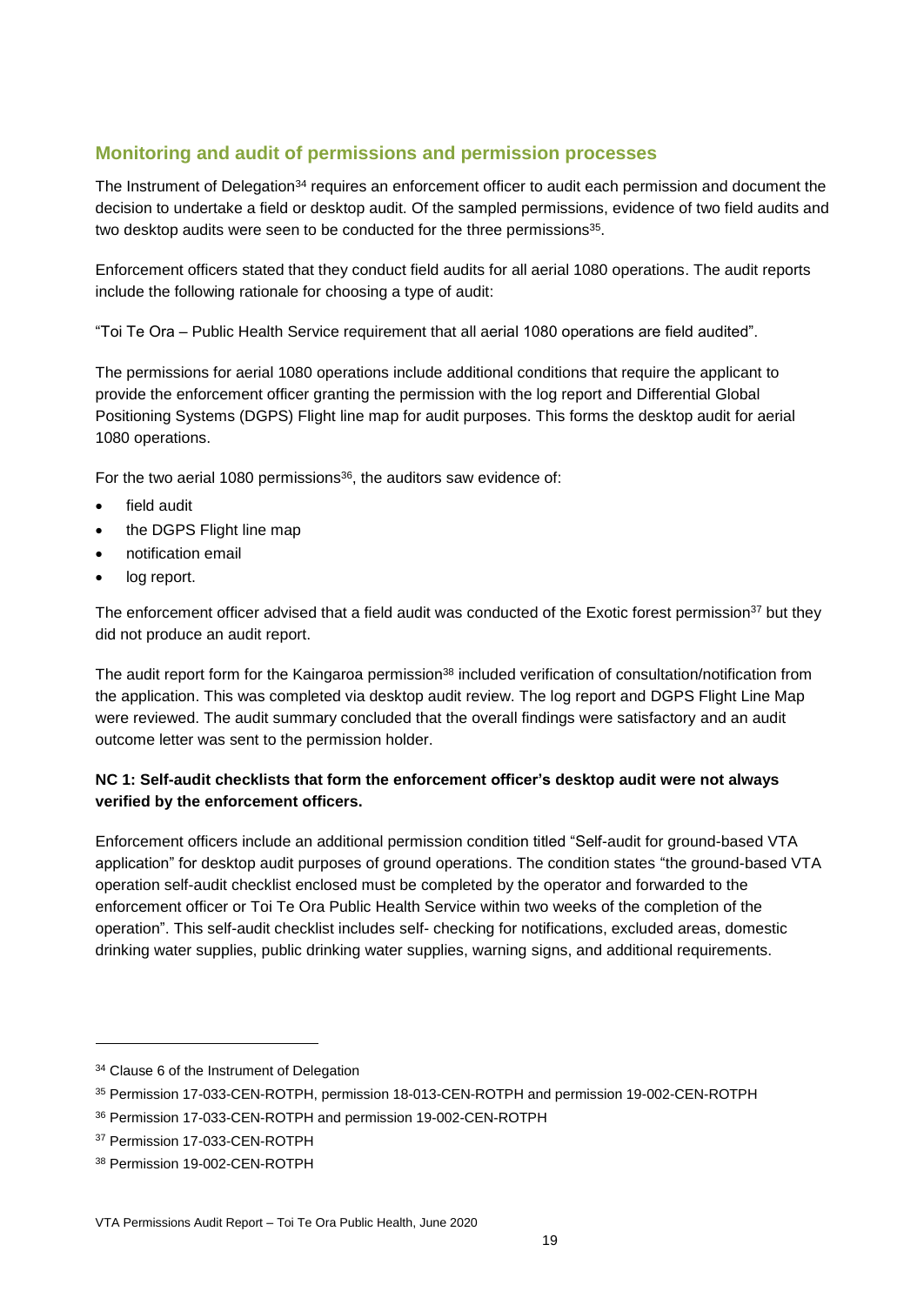#### **Monitoring and audit of permissions and permission processes**

The Instrument of Delegation<sup>34</sup> requires an enforcement officer to audit each permission and document the decision to undertake a field or desktop audit. Of the sampled permissions, evidence of two field audits and two desktop audits were seen to be conducted for the three permissions<sup>35</sup>.

Enforcement officers stated that they conduct field audits for all aerial 1080 operations. The audit reports include the following rationale for choosing a type of audit:

"Toi Te Ora – Public Health Service requirement that all aerial 1080 operations are field audited".

The permissions for aerial 1080 operations include additional conditions that require the applicant to provide the enforcement officer granting the permission with the log report and Differential Global Positioning Systems (DGPS) Flight line map for audit purposes. This forms the desktop audit for aerial 1080 operations.

For the two aerial 1080 permissions<sup>36</sup>, the auditors saw evidence of:

- field audit
- the DGPS Flight line map
- notification email
- log report.

The enforcement officer advised that a field audit was conducted of the Exotic forest permission<sup>37</sup> but they did not produce an audit report.

The audit report form for the Kaingaroa permission<sup>38</sup> included verification of consultation/notification from the application. This was completed via desktop audit review. The log report and DGPS Flight Line Map were reviewed. The audit summary concluded that the overall findings were satisfactory and an audit outcome letter was sent to the permission holder.

#### **NC 1: Self-audit checklists that form the enforcement officer's desktop audit were not always verified by the enforcement officers.**

Enforcement officers include an additional permission condition titled "Self-audit for ground-based VTA application" for desktop audit purposes of ground operations. The condition states "the ground-based VTA operation self-audit checklist enclosed must be completed by the operator and forwarded to the enforcement officer or Toi Te Ora Public Health Service within two weeks of the completion of the operation". This self-audit checklist includes self- checking for notifications, excluded areas, domestic drinking water supplies, public drinking water supplies, warning signs, and additional requirements.

<sup>&</sup>lt;sup>34</sup> Clause 6 of the Instrument of Delegation

<sup>35</sup> Permission 17-033-CEN-ROTPH, permission 18-013-CEN-ROTPH and permission 19-002-CEN-ROTPH

<sup>36</sup> Permission 17-033-CEN-ROTPH and permission 19-002-CEN-ROTPH

<sup>37</sup> Permission 17-033-CEN-ROTPH

<sup>38</sup> Permission 19-002-CEN-ROTPH

VTA Permissions Audit Report – Toi Te Ora Public Health, June 2020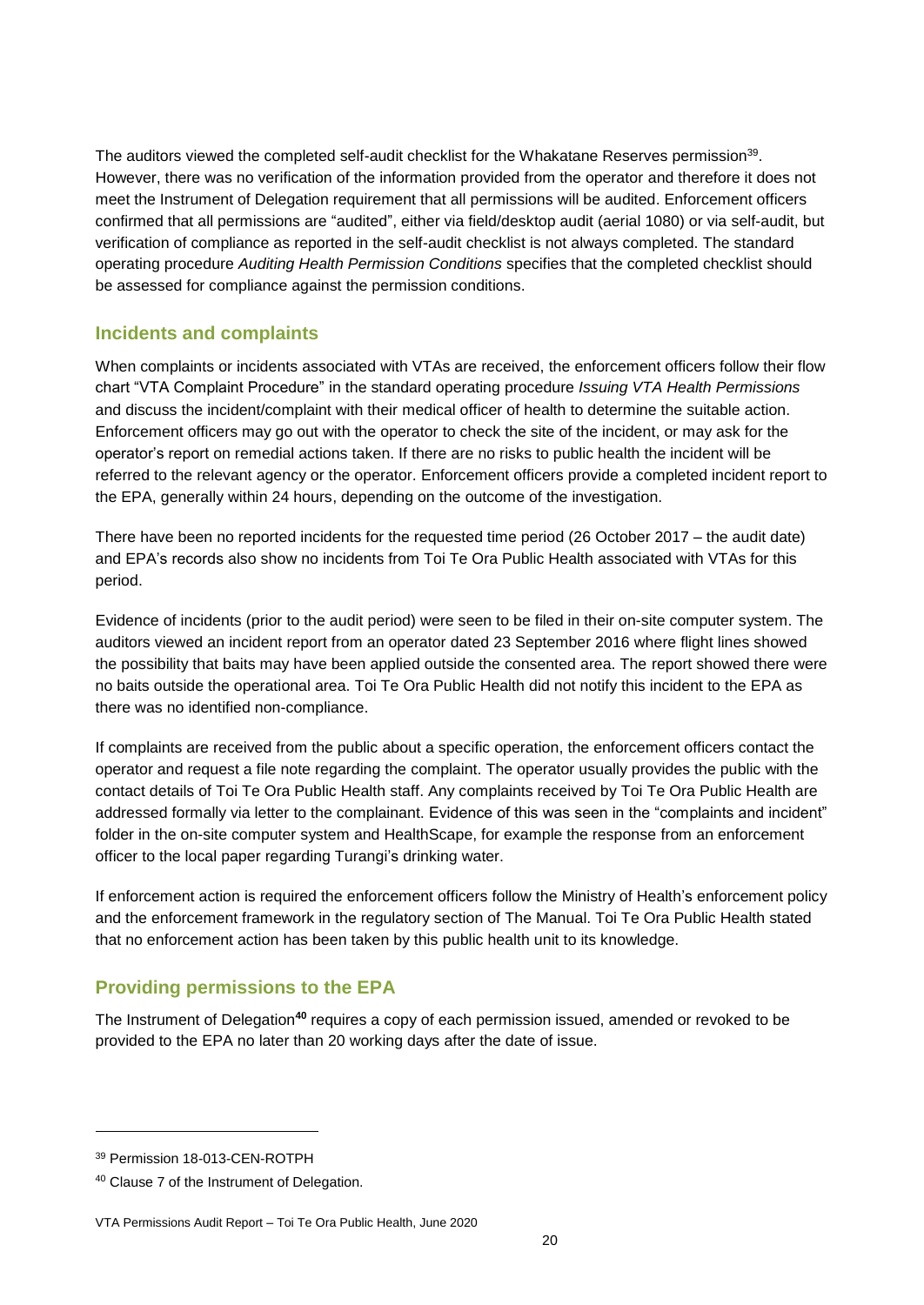The auditors viewed the completed self-audit checklist for the Whakatane Reserves permission<sup>39</sup>. However, there was no verification of the information provided from the operator and therefore it does not meet the Instrument of Delegation requirement that all permissions will be audited. Enforcement officers confirmed that all permissions are "audited", either via field/desktop audit (aerial 1080) or via self-audit, but verification of compliance as reported in the self-audit checklist is not always completed. The standard operating procedure *Auditing Health Permission Conditions* specifies that the completed checklist should be assessed for compliance against the permission conditions.

#### **Incidents and complaints**

When complaints or incidents associated with VTAs are received, the enforcement officers follow their flow chart "VTA Complaint Procedure" in the standard operating procedure *Issuing VTA Health Permissions* and discuss the incident/complaint with their medical officer of health to determine the suitable action. Enforcement officers may go out with the operator to check the site of the incident, or may ask for the operator's report on remedial actions taken. If there are no risks to public health the incident will be referred to the relevant agency or the operator. Enforcement officers provide a completed incident report to the EPA, generally within 24 hours, depending on the outcome of the investigation.

There have been no reported incidents for the requested time period (26 October 2017 – the audit date) and EPA's records also show no incidents from Toi Te Ora Public Health associated with VTAs for this period.

Evidence of incidents (prior to the audit period) were seen to be filed in their on-site computer system. The auditors viewed an incident report from an operator dated 23 September 2016 where flight lines showed the possibility that baits may have been applied outside the consented area. The report showed there were no baits outside the operational area. Toi Te Ora Public Health did not notify this incident to the EPA as there was no identified non-compliance.

If complaints are received from the public about a specific operation, the enforcement officers contact the operator and request a file note regarding the complaint. The operator usually provides the public with the contact details of Toi Te Ora Public Health staff. Any complaints received by Toi Te Ora Public Health are addressed formally via letter to the complainant. Evidence of this was seen in the "complaints and incident" folder in the on-site computer system and HealthScape, for example the response from an enforcement officer to the local paper regarding Turangi's drinking water.

If enforcement action is required the enforcement officers follow the Ministry of Health's enforcement policy and the enforcement framework in the regulatory section of The Manual. Toi Te Ora Public Health stated that no enforcement action has been taken by this public health unit to its knowledge.

#### **Providing permissions to the EPA**

The Instrument of Delegation**<sup>40</sup>** requires a copy of each permission issued, amended or revoked to be provided to the EPA no later than 20 working days after the date of issue.

<sup>39</sup> Permission 18-013-CEN-ROTPH

<sup>40</sup> Clause 7 of the Instrument of Delegation.

VTA Permissions Audit Report – Toi Te Ora Public Health, June 2020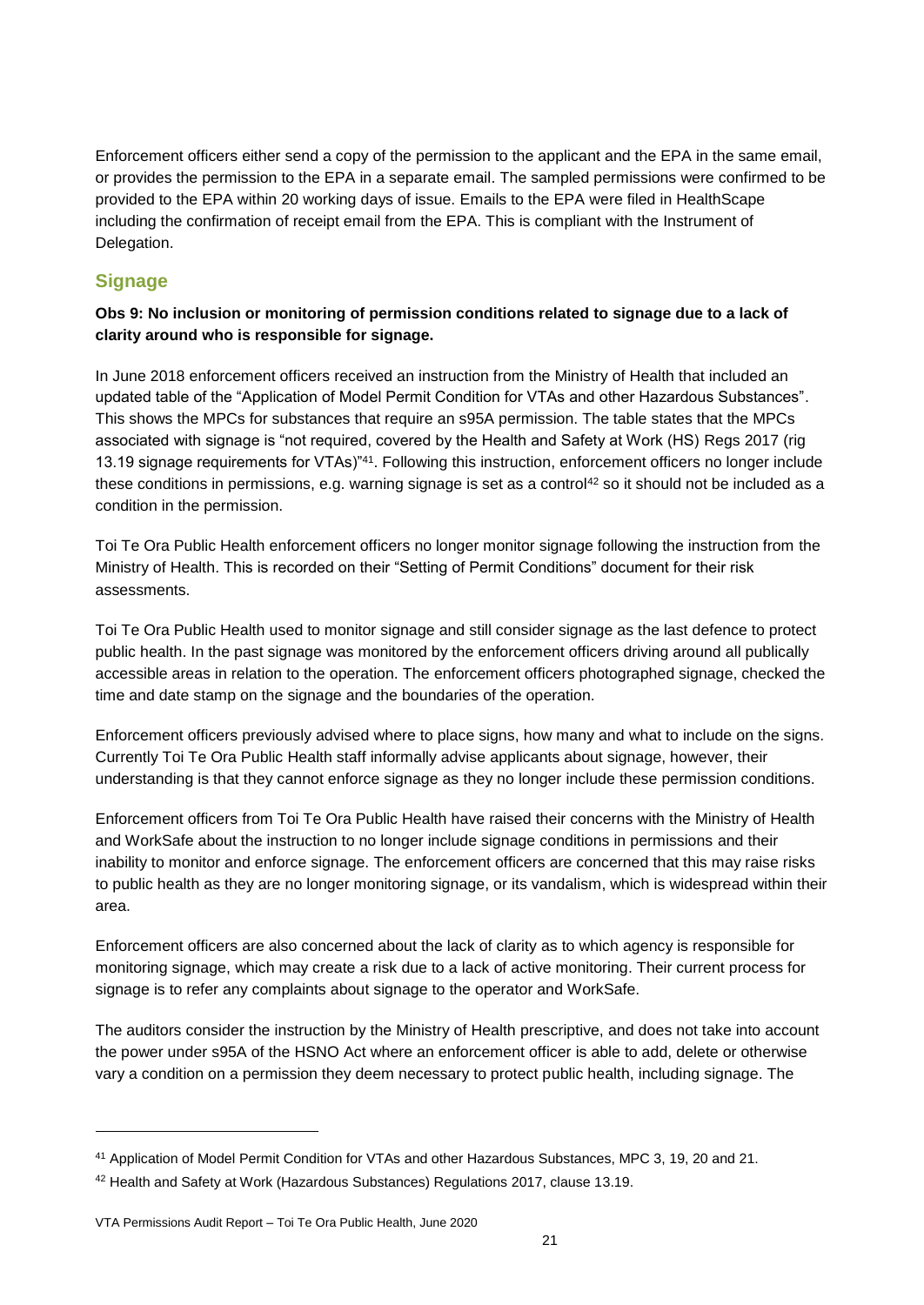Enforcement officers either send a copy of the permission to the applicant and the EPA in the same email, or provides the permission to the EPA in a separate email. The sampled permissions were confirmed to be provided to the EPA within 20 working days of issue. Emails to the EPA were filed in HealthScape including the confirmation of receipt email from the EPA. This is compliant with the Instrument of Delegation.

#### **Signage**

l

#### **Obs 9: No inclusion or monitoring of permission conditions related to signage due to a lack of clarity around who is responsible for signage.**

In June 2018 enforcement officers received an instruction from the Ministry of Health that included an updated table of the "Application of Model Permit Condition for VTAs and other Hazardous Substances". This shows the MPCs for substances that require an s95A permission. The table states that the MPCs associated with signage is "not required, covered by the Health and Safety at Work (HS) Regs 2017 (rig 13.19 signage requirements for VTAs)"<sup>41</sup>. Following this instruction, enforcement officers no longer include these conditions in permissions, e.g. warning signage is set as a control<sup>42</sup> so it should not be included as a condition in the permission.

Toi Te Ora Public Health enforcement officers no longer monitor signage following the instruction from the Ministry of Health. This is recorded on their "Setting of Permit Conditions" document for their risk assessments.

Toi Te Ora Public Health used to monitor signage and still consider signage as the last defence to protect public health. In the past signage was monitored by the enforcement officers driving around all publically accessible areas in relation to the operation. The enforcement officers photographed signage, checked the time and date stamp on the signage and the boundaries of the operation.

Enforcement officers previously advised where to place signs, how many and what to include on the signs. Currently Toi Te Ora Public Health staff informally advise applicants about signage, however, their understanding is that they cannot enforce signage as they no longer include these permission conditions.

Enforcement officers from Toi Te Ora Public Health have raised their concerns with the Ministry of Health and WorkSafe about the instruction to no longer include signage conditions in permissions and their inability to monitor and enforce signage. The enforcement officers are concerned that this may raise risks to public health as they are no longer monitoring signage, or its vandalism, which is widespread within their area.

Enforcement officers are also concerned about the lack of clarity as to which agency is responsible for monitoring signage, which may create a risk due to a lack of active monitoring. Their current process for signage is to refer any complaints about signage to the operator and WorkSafe.

The auditors consider the instruction by the Ministry of Health prescriptive, and does not take into account the power under s95A of the HSNO Act where an enforcement officer is able to add, delete or otherwise vary a condition on a permission they deem necessary to protect public health, including signage. The

<sup>41</sup> Application of Model Permit Condition for VTAs and other Hazardous Substances, MPC 3, 19, 20 and 21.

<sup>42</sup> Health and Safety at Work (Hazardous Substances) Regulations 2017, clause 13.19.

VTA Permissions Audit Report – Toi Te Ora Public Health, June 2020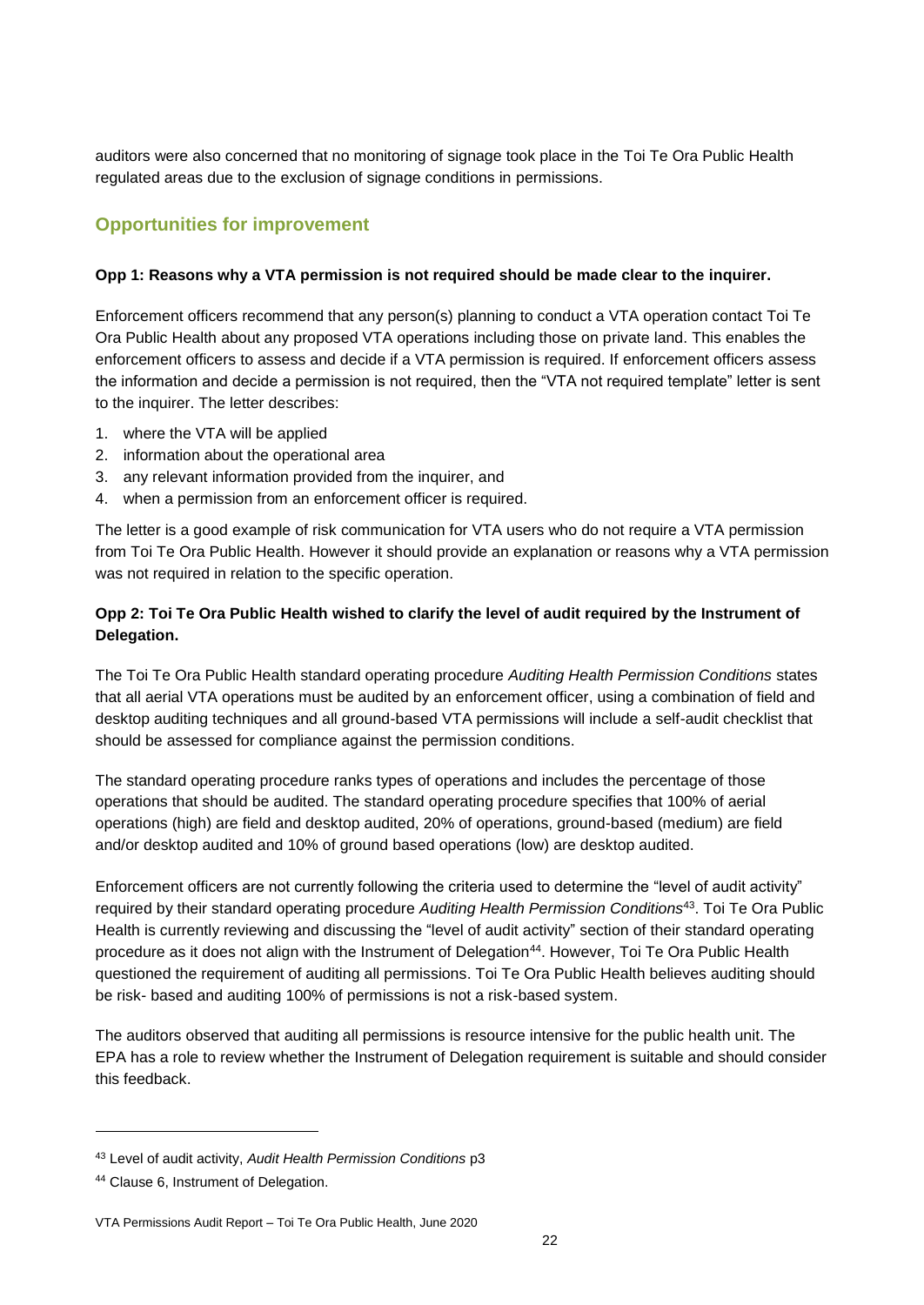auditors were also concerned that no monitoring of signage took place in the Toi Te Ora Public Health regulated areas due to the exclusion of signage conditions in permissions.

#### **Opportunities for improvement**

#### **Opp 1: Reasons why a VTA permission is not required should be made clear to the inquirer.**

Enforcement officers recommend that any person(s) planning to conduct a VTA operation contact Toi Te Ora Public Health about any proposed VTA operations including those on private land. This enables the enforcement officers to assess and decide if a VTA permission is required. If enforcement officers assess the information and decide a permission is not required, then the "VTA not required template" letter is sent to the inquirer. The letter describes:

- 1. where the VTA will be applied
- 2. information about the operational area
- 3. any relevant information provided from the inquirer, and
- 4. when a permission from an enforcement officer is required.

The letter is a good example of risk communication for VTA users who do not require a VTA permission from Toi Te Ora Public Health. However it should provide an explanation or reasons why a VTA permission was not required in relation to the specific operation.

#### **Opp 2: Toi Te Ora Public Health wished to clarify the level of audit required by the Instrument of Delegation.**

The Toi Te Ora Public Health standard operating procedure *Auditing Health Permission Conditions* states that all aerial VTA operations must be audited by an enforcement officer, using a combination of field and desktop auditing techniques and all ground-based VTA permissions will include a self-audit checklist that should be assessed for compliance against the permission conditions.

The standard operating procedure ranks types of operations and includes the percentage of those operations that should be audited. The standard operating procedure specifies that 100% of aerial operations (high) are field and desktop audited, 20% of operations, ground-based (medium) are field and/or desktop audited and 10% of ground based operations (low) are desktop audited.

Enforcement officers are not currently following the criteria used to determine the "level of audit activity" required by their standard operating procedure *Auditing Health Permission Conditions*<sup>43</sup> . Toi Te Ora Public Health is currently reviewing and discussing the "level of audit activity" section of their standard operating procedure as it does not align with the Instrument of Delegation<sup>44</sup>. However, Toi Te Ora Public Health questioned the requirement of auditing all permissions. Toi Te Ora Public Health believes auditing should be risk- based and auditing 100% of permissions is not a risk-based system.

The auditors observed that auditing all permissions is resource intensive for the public health unit. The EPA has a role to review whether the Instrument of Delegation requirement is suitable and should consider this feedback.

<sup>43</sup> Level of audit activity, *Audit Health Permission Conditions* p3

<sup>44</sup> Clause 6, Instrument of Delegation.

VTA Permissions Audit Report – Toi Te Ora Public Health, June 2020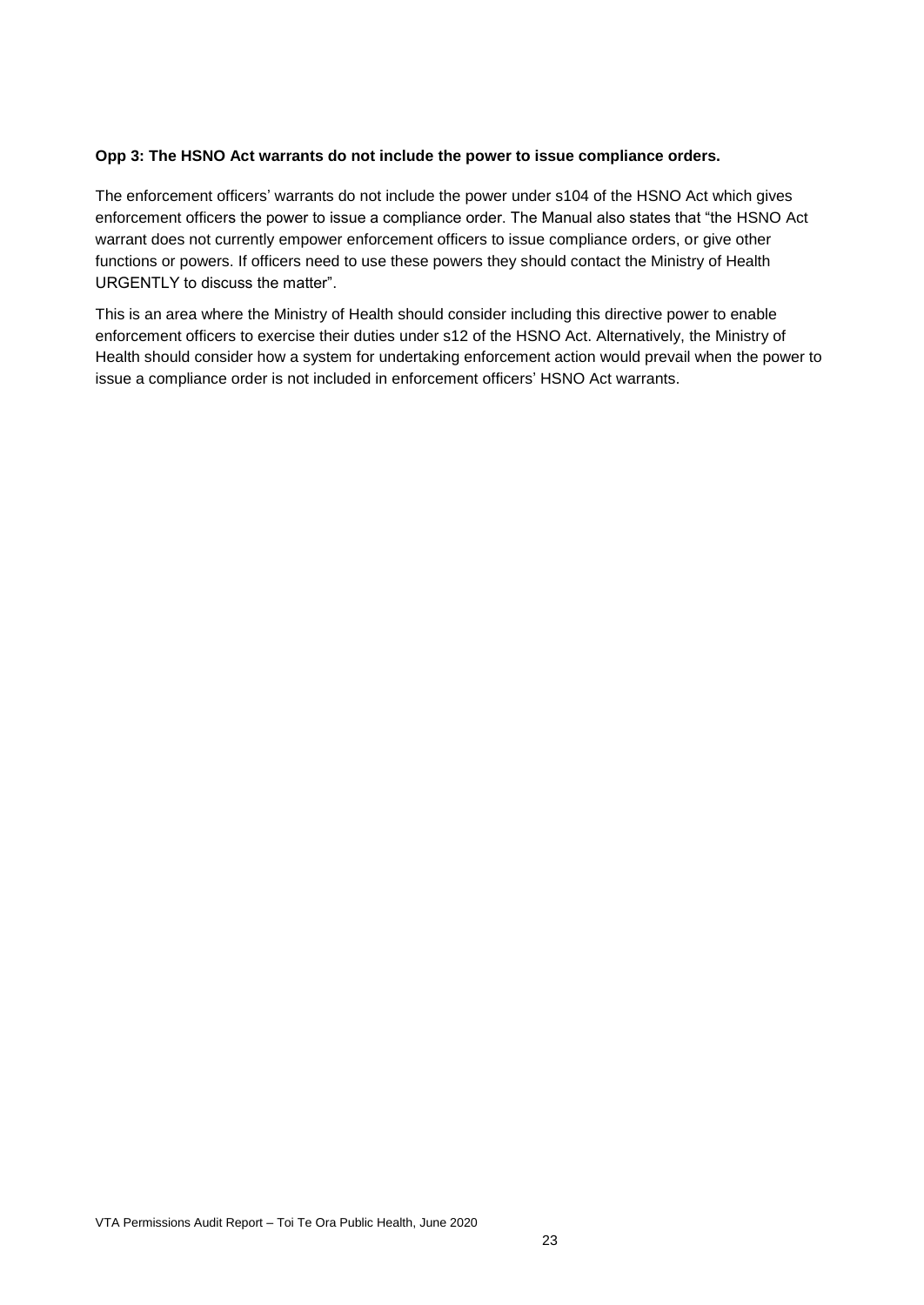#### **Opp 3: The HSNO Act warrants do not include the power to issue compliance orders.**

The enforcement officers' warrants do not include the power under s104 of the HSNO Act which gives enforcement officers the power to issue a compliance order. The Manual also states that "the HSNO Act warrant does not currently empower enforcement officers to issue compliance orders, or give other functions or powers. If officers need to use these powers they should contact the Ministry of Health URGENTLY to discuss the matter".

This is an area where the Ministry of Health should consider including this directive power to enable enforcement officers to exercise their duties under s12 of the HSNO Act. Alternatively, the Ministry of Health should consider how a system for undertaking enforcement action would prevail when the power to issue a compliance order is not included in enforcement officers' HSNO Act warrants.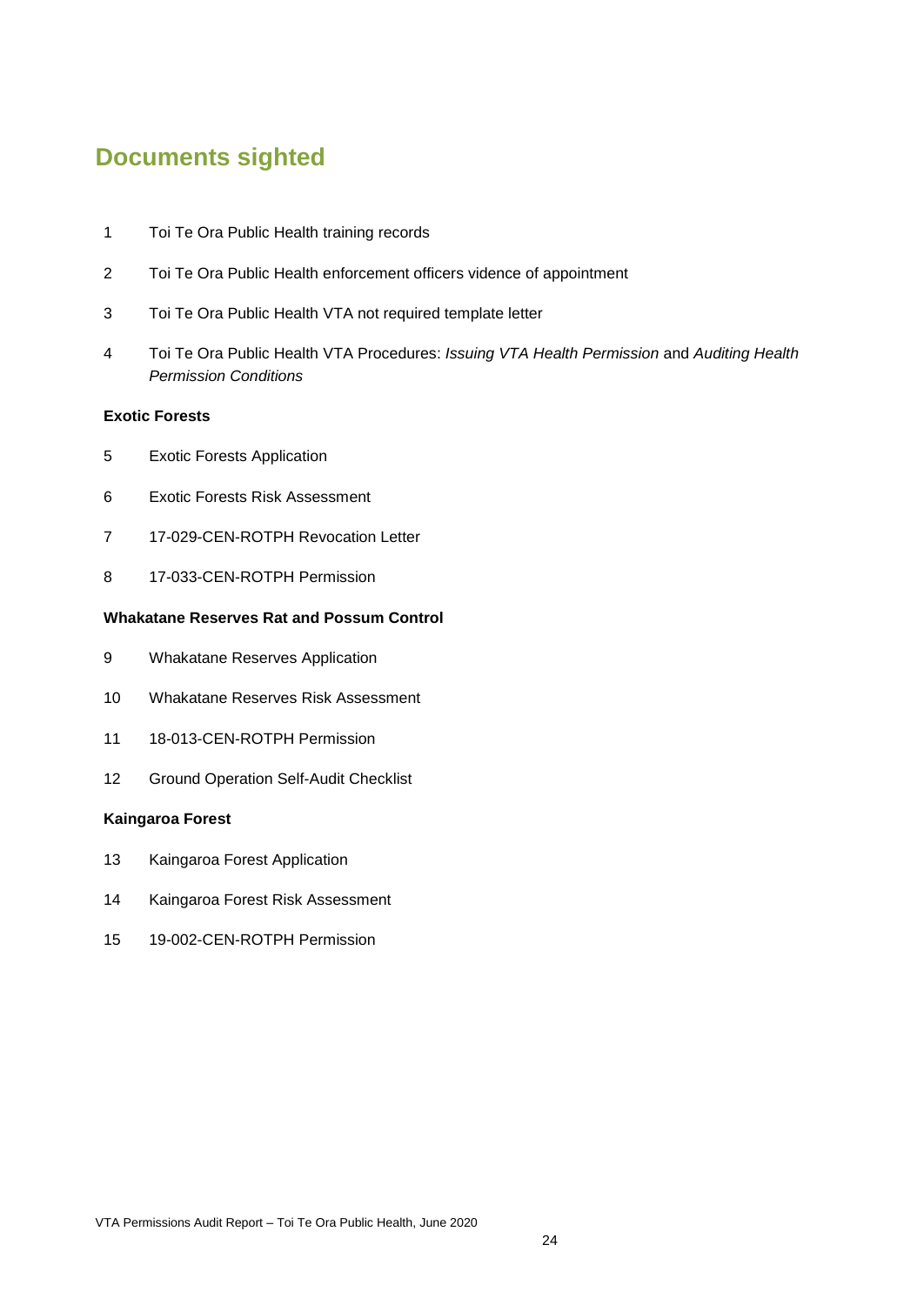### <span id="page-23-0"></span>**Documents sighted**

- Toi Te Ora Public Health training records
- [Toi Te Ora Public Health enforcement officers](http://epa/edrms/acc/1/aud/aep/Waikato_HSNO_Evidence_of_Appointment_2019_06_12.pdf) vidence of appointment
- Toi Te Ora Public Health VTA not required template letter
- [Toi Te Ora Public Health](http://epa/edrms/acc/1/aud/aep/WDHB_SOPs_2019_06_12.pdf) VTA Procedures: *Issuing VTA Health Permission* and *Auditing Health Permission Conditions*

#### **Exotic Forests**

- [Exotic Forests](http://epa/edrms/acc/1/aud/aep/Arohena_Sector_2_Aerial_Application.pdf) Application
- Exotic Forests [Risk Assessment](http://epa/edrms/acc/1/aud/aep/Arohena_Sector_2_Risk_Assessment.pdf)
- 17-029-CEN-ROTPH Revocation Letter
- 17-033-CEN-ROTPH Permission

#### **Whakatane Reserves Rat and Possum Control**

- [Whakatane Reserves](http://epa/edrms/acc/1/aud/aep/Ngaroma_Ground_Application.pdf) Application
- [Whakatane Reserves](http://epa/edrms/acc/1/aud/aep/Ngaroma_Ground_Risk_Assessment.pdf) Risk Assessment
- 18-013-CEN-ROTPH Permission
- Ground Operation Self-Audit Checklist

#### **Kaingaroa Forest**

- [Kaingaroa Forest](http://epa/edrms/acc/1/aud/aep/Mt_Pirongia_West_Application.pdf) Application
- Kaingaroa Forest [Risk Assessment](http://epa/edrms/acc/1/aud/aep/Mt_Pirongia_West_Risk_Assessment.pdf)
- [19-002-CEN-ROTPH](http://epa/edrms/comp/1/pt6/VTAMOH/2018-019_Chris%20Montgomery_20Feb18%2013.56.44_FW%20Message%20from%20CBMKTNL5.msg) Permission